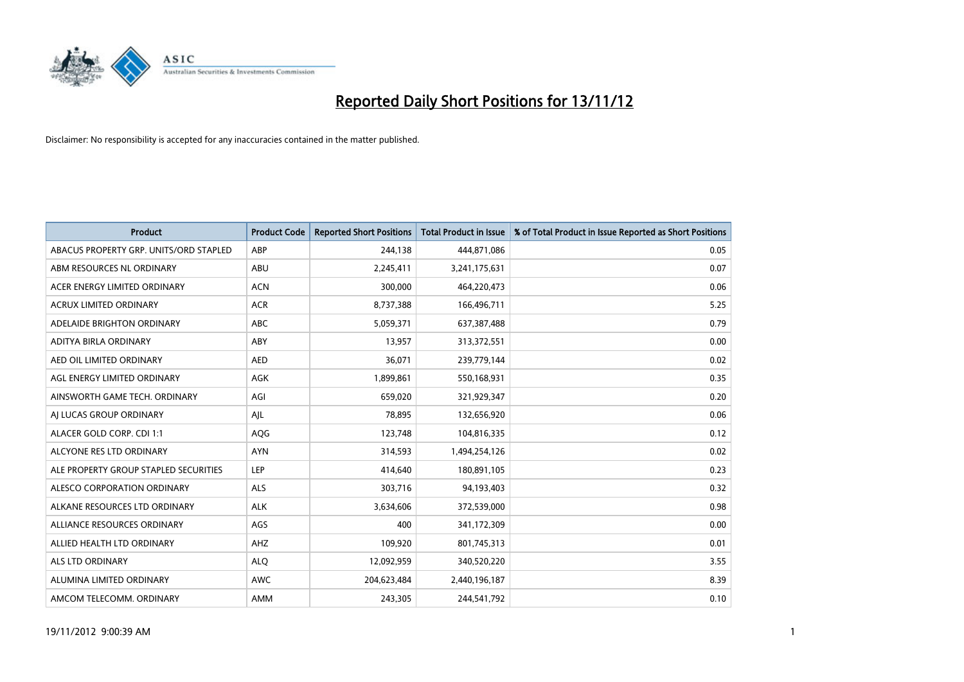

| <b>Product</b>                         | <b>Product Code</b> | <b>Reported Short Positions</b> | <b>Total Product in Issue</b> | % of Total Product in Issue Reported as Short Positions |
|----------------------------------------|---------------------|---------------------------------|-------------------------------|---------------------------------------------------------|
| ABACUS PROPERTY GRP. UNITS/ORD STAPLED | ABP                 | 244,138                         | 444,871,086                   | 0.05                                                    |
| ABM RESOURCES NL ORDINARY              | ABU                 | 2,245,411                       | 3,241,175,631                 | 0.07                                                    |
| ACER ENERGY LIMITED ORDINARY           | <b>ACN</b>          | 300,000                         | 464,220,473                   | 0.06                                                    |
| ACRUX LIMITED ORDINARY                 | <b>ACR</b>          | 8,737,388                       | 166,496,711                   | 5.25                                                    |
| ADELAIDE BRIGHTON ORDINARY             | <b>ABC</b>          | 5,059,371                       | 637, 387, 488                 | 0.79                                                    |
| ADITYA BIRLA ORDINARY                  | ABY                 | 13,957                          | 313,372,551                   | 0.00                                                    |
| AED OIL LIMITED ORDINARY               | <b>AED</b>          | 36,071                          | 239,779,144                   | 0.02                                                    |
| AGL ENERGY LIMITED ORDINARY            | <b>AGK</b>          | 1,899,861                       | 550,168,931                   | 0.35                                                    |
| AINSWORTH GAME TECH. ORDINARY          | AGI                 | 659,020                         | 321,929,347                   | 0.20                                                    |
| AI LUCAS GROUP ORDINARY                | AJL                 | 78,895                          | 132,656,920                   | 0.06                                                    |
| ALACER GOLD CORP. CDI 1:1              | AQG                 | 123,748                         | 104,816,335                   | 0.12                                                    |
| ALCYONE RES LTD ORDINARY               | <b>AYN</b>          | 314,593                         | 1,494,254,126                 | 0.02                                                    |
| ALE PROPERTY GROUP STAPLED SECURITIES  | LEP                 | 414,640                         | 180,891,105                   | 0.23                                                    |
| ALESCO CORPORATION ORDINARY            | <b>ALS</b>          | 303.716                         | 94,193,403                    | 0.32                                                    |
| ALKANE RESOURCES LTD ORDINARY          | <b>ALK</b>          | 3,634,606                       | 372,539,000                   | 0.98                                                    |
| ALLIANCE RESOURCES ORDINARY            | AGS                 | 400                             | 341,172,309                   | 0.00                                                    |
| ALLIED HEALTH LTD ORDINARY             | AHZ                 | 109,920                         | 801,745,313                   | 0.01                                                    |
| <b>ALS LTD ORDINARY</b>                | <b>ALO</b>          | 12,092,959                      | 340,520,220                   | 3.55                                                    |
| ALUMINA LIMITED ORDINARY               | <b>AWC</b>          | 204,623,484                     | 2,440,196,187                 | 8.39                                                    |
| AMCOM TELECOMM, ORDINARY               | <b>AMM</b>          | 243,305                         | 244,541,792                   | 0.10                                                    |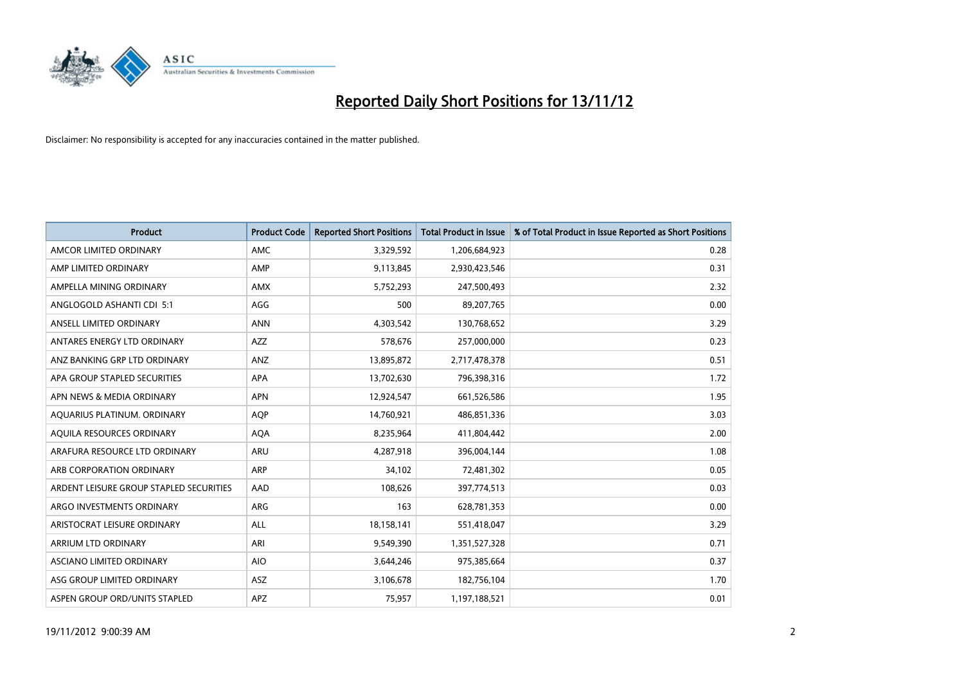

| <b>Product</b>                          | <b>Product Code</b> | <b>Reported Short Positions</b> | <b>Total Product in Issue</b> | % of Total Product in Issue Reported as Short Positions |
|-----------------------------------------|---------------------|---------------------------------|-------------------------------|---------------------------------------------------------|
| AMCOR LIMITED ORDINARY                  | <b>AMC</b>          | 3,329,592                       | 1,206,684,923                 | 0.28                                                    |
| AMP LIMITED ORDINARY                    | AMP                 | 9,113,845                       | 2,930,423,546                 | 0.31                                                    |
| AMPELLA MINING ORDINARY                 | <b>AMX</b>          | 5,752,293                       | 247,500,493                   | 2.32                                                    |
| ANGLOGOLD ASHANTI CDI 5:1               | AGG                 | 500                             | 89,207,765                    | 0.00                                                    |
| ANSELL LIMITED ORDINARY                 | <b>ANN</b>          | 4,303,542                       | 130,768,652                   | 3.29                                                    |
| ANTARES ENERGY LTD ORDINARY             | <b>AZZ</b>          | 578,676                         | 257,000,000                   | 0.23                                                    |
| ANZ BANKING GRP LTD ORDINARY            | ANZ                 | 13,895,872                      | 2,717,478,378                 | 0.51                                                    |
| APA GROUP STAPLED SECURITIES            | <b>APA</b>          | 13,702,630                      | 796,398,316                   | 1.72                                                    |
| APN NEWS & MEDIA ORDINARY               | <b>APN</b>          | 12,924,547                      | 661,526,586                   | 1.95                                                    |
| AOUARIUS PLATINUM. ORDINARY             | <b>AOP</b>          | 14,760,921                      | 486,851,336                   | 3.03                                                    |
| AQUILA RESOURCES ORDINARY               | <b>AQA</b>          | 8,235,964                       | 411,804,442                   | 2.00                                                    |
| ARAFURA RESOURCE LTD ORDINARY           | ARU                 | 4,287,918                       | 396,004,144                   | 1.08                                                    |
| ARB CORPORATION ORDINARY                | <b>ARP</b>          | 34,102                          | 72,481,302                    | 0.05                                                    |
| ARDENT LEISURE GROUP STAPLED SECURITIES | AAD                 | 108.626                         | 397,774,513                   | 0.03                                                    |
| ARGO INVESTMENTS ORDINARY               | <b>ARG</b>          | 163                             | 628,781,353                   | 0.00                                                    |
| ARISTOCRAT LEISURE ORDINARY             | <b>ALL</b>          | 18,158,141                      | 551,418,047                   | 3.29                                                    |
| ARRIUM LTD ORDINARY                     | ARI                 | 9,549,390                       | 1,351,527,328                 | 0.71                                                    |
| ASCIANO LIMITED ORDINARY                | <b>AIO</b>          | 3,644,246                       | 975,385,664                   | 0.37                                                    |
| ASG GROUP LIMITED ORDINARY              | <b>ASZ</b>          | 3,106,678                       | 182,756,104                   | 1.70                                                    |
| ASPEN GROUP ORD/UNITS STAPLED           | <b>APZ</b>          | 75,957                          | 1,197,188,521                 | 0.01                                                    |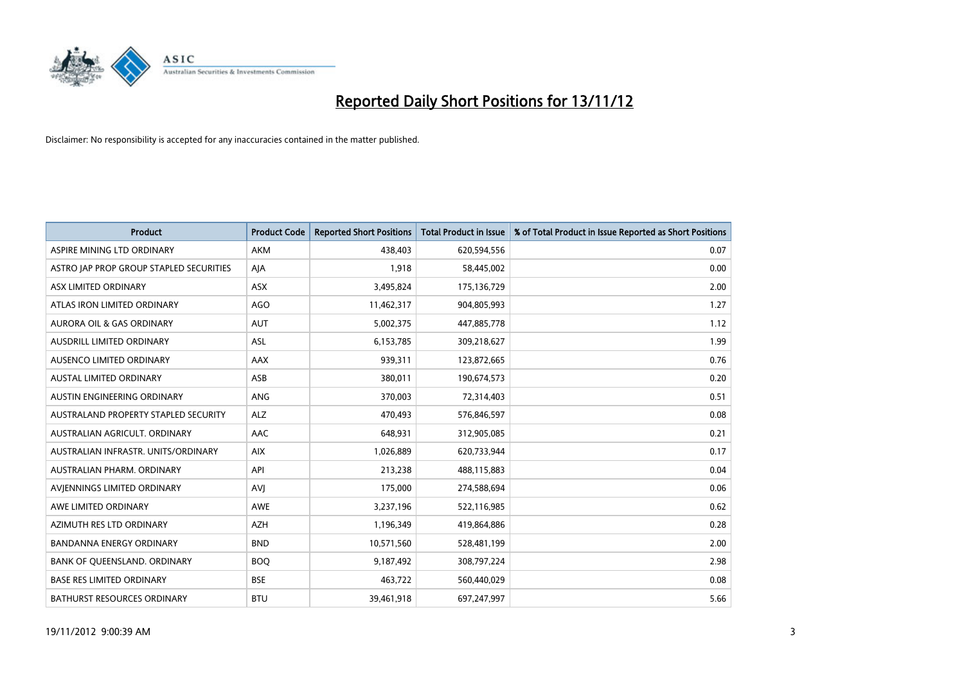

| <b>Product</b>                          | <b>Product Code</b> | <b>Reported Short Positions</b> | <b>Total Product in Issue</b> | % of Total Product in Issue Reported as Short Positions |
|-----------------------------------------|---------------------|---------------------------------|-------------------------------|---------------------------------------------------------|
| ASPIRE MINING LTD ORDINARY              | <b>AKM</b>          | 438,403                         | 620,594,556                   | 0.07                                                    |
| ASTRO JAP PROP GROUP STAPLED SECURITIES | AJA                 | 1,918                           | 58,445,002                    | 0.00                                                    |
| ASX LIMITED ORDINARY                    | <b>ASX</b>          | 3,495,824                       | 175,136,729                   | 2.00                                                    |
| ATLAS IRON LIMITED ORDINARY             | AGO                 | 11,462,317                      | 904,805,993                   | 1.27                                                    |
| <b>AURORA OIL &amp; GAS ORDINARY</b>    | <b>AUT</b>          | 5,002,375                       | 447,885,778                   | 1.12                                                    |
| AUSDRILL LIMITED ORDINARY               | <b>ASL</b>          | 6,153,785                       | 309,218,627                   | 1.99                                                    |
| AUSENCO LIMITED ORDINARY                | AAX                 | 939,311                         | 123,872,665                   | 0.76                                                    |
| <b>AUSTAL LIMITED ORDINARY</b>          | ASB                 | 380,011                         | 190,674,573                   | 0.20                                                    |
| AUSTIN ENGINEERING ORDINARY             | <b>ANG</b>          | 370,003                         | 72,314,403                    | 0.51                                                    |
| AUSTRALAND PROPERTY STAPLED SECURITY    | <b>ALZ</b>          | 470,493                         | 576,846,597                   | 0.08                                                    |
| AUSTRALIAN AGRICULT. ORDINARY           | <b>AAC</b>          | 648,931                         | 312,905,085                   | 0.21                                                    |
| AUSTRALIAN INFRASTR. UNITS/ORDINARY     | <b>AIX</b>          | 1,026,889                       | 620,733,944                   | 0.17                                                    |
| AUSTRALIAN PHARM. ORDINARY              | API                 | 213,238                         | 488,115,883                   | 0.04                                                    |
| AVIENNINGS LIMITED ORDINARY             | AVI                 | 175,000                         | 274,588,694                   | 0.06                                                    |
| AWE LIMITED ORDINARY                    | <b>AWE</b>          | 3,237,196                       | 522,116,985                   | 0.62                                                    |
| AZIMUTH RES LTD ORDINARY                | <b>AZH</b>          | 1,196,349                       | 419,864,886                   | 0.28                                                    |
| BANDANNA ENERGY ORDINARY                | <b>BND</b>          | 10,571,560                      | 528,481,199                   | 2.00                                                    |
| BANK OF QUEENSLAND. ORDINARY            | <b>BOQ</b>          | 9,187,492                       | 308,797,224                   | 2.98                                                    |
| <b>BASE RES LIMITED ORDINARY</b>        | <b>BSE</b>          | 463,722                         | 560,440,029                   | 0.08                                                    |
| <b>BATHURST RESOURCES ORDINARY</b>      | <b>BTU</b>          | 39,461,918                      | 697,247,997                   | 5.66                                                    |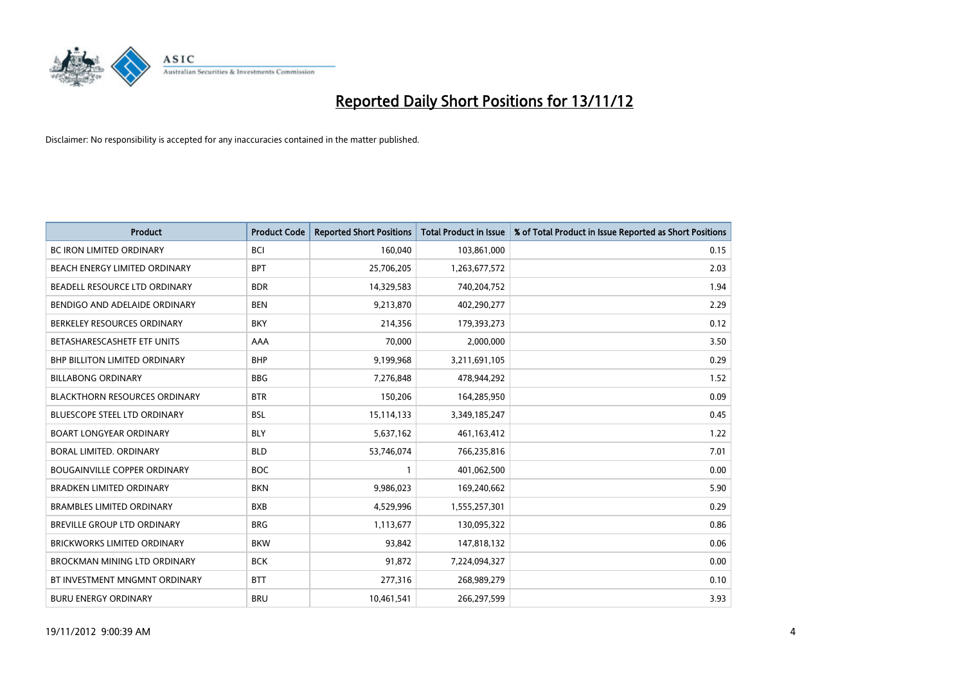

| <b>Product</b>                       | <b>Product Code</b> | <b>Reported Short Positions</b> | <b>Total Product in Issue</b> | % of Total Product in Issue Reported as Short Positions |
|--------------------------------------|---------------------|---------------------------------|-------------------------------|---------------------------------------------------------|
| <b>BC IRON LIMITED ORDINARY</b>      | <b>BCI</b>          | 160,040                         | 103,861,000                   | 0.15                                                    |
| <b>BEACH ENERGY LIMITED ORDINARY</b> | <b>BPT</b>          | 25,706,205                      | 1,263,677,572                 | 2.03                                                    |
| BEADELL RESOURCE LTD ORDINARY        | <b>BDR</b>          | 14,329,583                      | 740,204,752                   | 1.94                                                    |
| BENDIGO AND ADELAIDE ORDINARY        | <b>BEN</b>          | 9,213,870                       | 402,290,277                   | 2.29                                                    |
| BERKELEY RESOURCES ORDINARY          | <b>BKY</b>          | 214,356                         | 179,393,273                   | 0.12                                                    |
| BETASHARESCASHETF ETF UNITS          | AAA                 | 70,000                          | 2,000,000                     | 3.50                                                    |
| <b>BHP BILLITON LIMITED ORDINARY</b> | <b>BHP</b>          | 9,199,968                       | 3,211,691,105                 | 0.29                                                    |
| <b>BILLABONG ORDINARY</b>            | <b>BBG</b>          | 7,276,848                       | 478,944,292                   | 1.52                                                    |
| <b>BLACKTHORN RESOURCES ORDINARY</b> | <b>BTR</b>          | 150,206                         | 164,285,950                   | 0.09                                                    |
| <b>BLUESCOPE STEEL LTD ORDINARY</b>  | <b>BSL</b>          | 15,114,133                      | 3,349,185,247                 | 0.45                                                    |
| <b>BOART LONGYEAR ORDINARY</b>       | <b>BLY</b>          | 5,637,162                       | 461,163,412                   | 1.22                                                    |
| BORAL LIMITED. ORDINARY              | <b>BLD</b>          | 53,746,074                      | 766,235,816                   | 7.01                                                    |
| <b>BOUGAINVILLE COPPER ORDINARY</b>  | <b>BOC</b>          | $\mathbf{1}$                    | 401,062,500                   | 0.00                                                    |
| <b>BRADKEN LIMITED ORDINARY</b>      | <b>BKN</b>          | 9,986,023                       | 169,240,662                   | 5.90                                                    |
| <b>BRAMBLES LIMITED ORDINARY</b>     | <b>BXB</b>          | 4,529,996                       | 1,555,257,301                 | 0.29                                                    |
| BREVILLE GROUP LTD ORDINARY          | <b>BRG</b>          | 1,113,677                       | 130,095,322                   | 0.86                                                    |
| <b>BRICKWORKS LIMITED ORDINARY</b>   | <b>BKW</b>          | 93,842                          | 147,818,132                   | 0.06                                                    |
| <b>BROCKMAN MINING LTD ORDINARY</b>  | <b>BCK</b>          | 91,872                          | 7,224,094,327                 | 0.00                                                    |
| BT INVESTMENT MNGMNT ORDINARY        | <b>BTT</b>          | 277,316                         | 268,989,279                   | 0.10                                                    |
| <b>BURU ENERGY ORDINARY</b>          | <b>BRU</b>          | 10,461,541                      | 266,297,599                   | 3.93                                                    |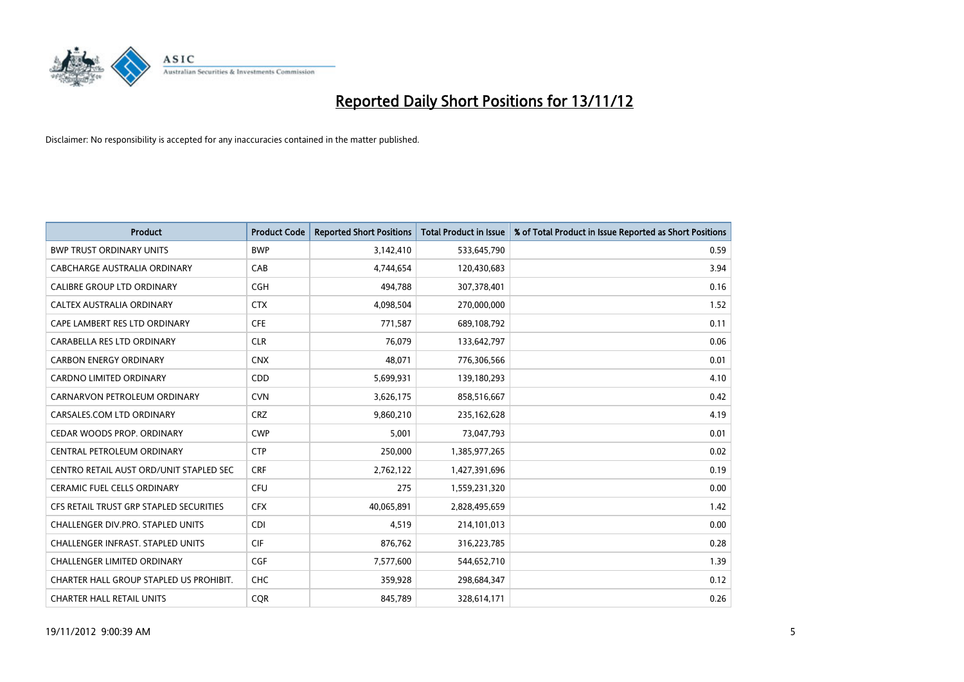

| <b>Product</b>                           | <b>Product Code</b> | <b>Reported Short Positions</b> | <b>Total Product in Issue</b> | % of Total Product in Issue Reported as Short Positions |
|------------------------------------------|---------------------|---------------------------------|-------------------------------|---------------------------------------------------------|
| <b>BWP TRUST ORDINARY UNITS</b>          | <b>BWP</b>          | 3,142,410                       | 533,645,790                   | 0.59                                                    |
| CABCHARGE AUSTRALIA ORDINARY             | CAB                 | 4,744,654                       | 120,430,683                   | 3.94                                                    |
| <b>CALIBRE GROUP LTD ORDINARY</b>        | <b>CGH</b>          | 494,788                         | 307,378,401                   | 0.16                                                    |
| CALTEX AUSTRALIA ORDINARY                | <b>CTX</b>          | 4,098,504                       | 270,000,000                   | 1.52                                                    |
| CAPE LAMBERT RES LTD ORDINARY            | <b>CFE</b>          | 771,587                         | 689,108,792                   | 0.11                                                    |
| CARABELLA RES LTD ORDINARY               | <b>CLR</b>          | 76,079                          | 133,642,797                   | 0.06                                                    |
| <b>CARBON ENERGY ORDINARY</b>            | <b>CNX</b>          | 48.071                          | 776,306,566                   | 0.01                                                    |
| CARDNO LIMITED ORDINARY                  | CDD                 | 5,699,931                       | 139,180,293                   | 4.10                                                    |
| CARNARVON PETROLEUM ORDINARY             | <b>CVN</b>          | 3,626,175                       | 858,516,667                   | 0.42                                                    |
| CARSALES.COM LTD ORDINARY                | <b>CRZ</b>          | 9,860,210                       | 235,162,628                   | 4.19                                                    |
| CEDAR WOODS PROP. ORDINARY               | <b>CWP</b>          | 5,001                           | 73,047,793                    | 0.01                                                    |
| CENTRAL PETROLEUM ORDINARY               | <b>CTP</b>          | 250,000                         | 1,385,977,265                 | 0.02                                                    |
| CENTRO RETAIL AUST ORD/UNIT STAPLED SEC  | <b>CRF</b>          | 2,762,122                       | 1,427,391,696                 | 0.19                                                    |
| <b>CERAMIC FUEL CELLS ORDINARY</b>       | <b>CFU</b>          | 275                             | 1,559,231,320                 | 0.00                                                    |
| CFS RETAIL TRUST GRP STAPLED SECURITIES  | <b>CFX</b>          | 40,065,891                      | 2,828,495,659                 | 1.42                                                    |
| CHALLENGER DIV.PRO. STAPLED UNITS        | <b>CDI</b>          | 4,519                           | 214,101,013                   | 0.00                                                    |
| <b>CHALLENGER INFRAST, STAPLED UNITS</b> | <b>CIF</b>          | 876,762                         | 316,223,785                   | 0.28                                                    |
| <b>CHALLENGER LIMITED ORDINARY</b>       | <b>CGF</b>          | 7,577,600                       | 544,652,710                   | 1.39                                                    |
| CHARTER HALL GROUP STAPLED US PROHIBIT.  | <b>CHC</b>          | 359,928                         | 298,684,347                   | 0.12                                                    |
| <b>CHARTER HALL RETAIL UNITS</b>         | <b>COR</b>          | 845.789                         | 328,614,171                   | 0.26                                                    |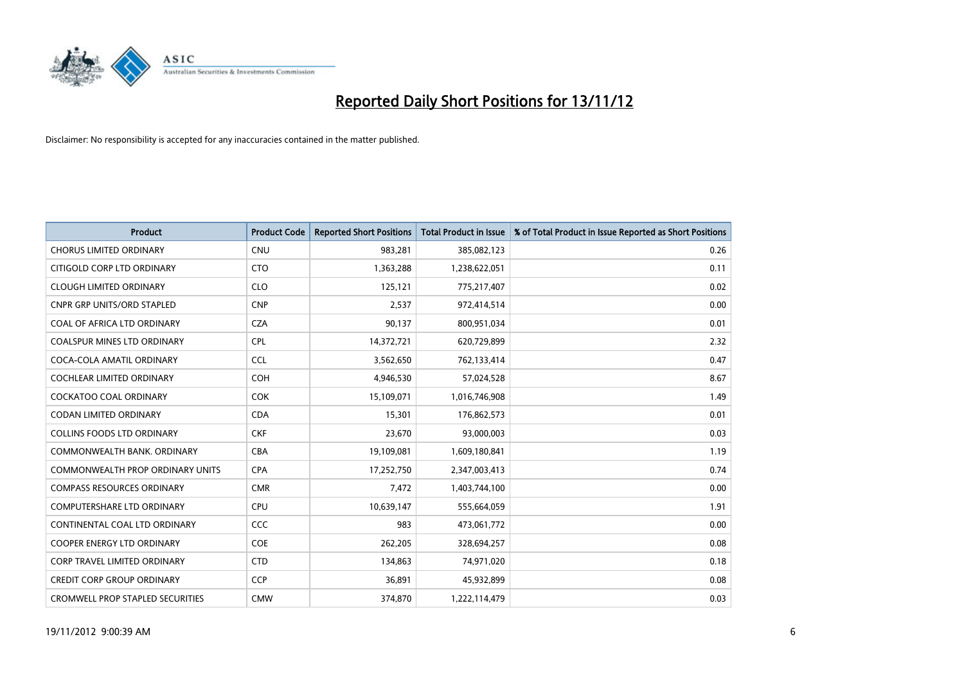

| <b>Product</b>                          | <b>Product Code</b> | <b>Reported Short Positions</b> | <b>Total Product in Issue</b> | % of Total Product in Issue Reported as Short Positions |
|-----------------------------------------|---------------------|---------------------------------|-------------------------------|---------------------------------------------------------|
| <b>CHORUS LIMITED ORDINARY</b>          | <b>CNU</b>          | 983,281                         | 385,082,123                   | 0.26                                                    |
| CITIGOLD CORP LTD ORDINARY              | <b>CTO</b>          | 1,363,288                       | 1,238,622,051                 | 0.11                                                    |
| <b>CLOUGH LIMITED ORDINARY</b>          | <b>CLO</b>          | 125,121                         | 775,217,407                   | 0.02                                                    |
| <b>CNPR GRP UNITS/ORD STAPLED</b>       | <b>CNP</b>          | 2,537                           | 972,414,514                   | 0.00                                                    |
| COAL OF AFRICA LTD ORDINARY             | <b>CZA</b>          | 90,137                          | 800,951,034                   | 0.01                                                    |
| <b>COALSPUR MINES LTD ORDINARY</b>      | CPL                 | 14,372,721                      | 620,729,899                   | 2.32                                                    |
| COCA-COLA AMATIL ORDINARY               | <b>CCL</b>          | 3,562,650                       | 762,133,414                   | 0.47                                                    |
| COCHLEAR LIMITED ORDINARY               | <b>COH</b>          | 4,946,530                       | 57,024,528                    | 8.67                                                    |
| COCKATOO COAL ORDINARY                  | <b>COK</b>          | 15,109,071                      | 1,016,746,908                 | 1.49                                                    |
| <b>CODAN LIMITED ORDINARY</b>           | <b>CDA</b>          | 15,301                          | 176,862,573                   | 0.01                                                    |
| <b>COLLINS FOODS LTD ORDINARY</b>       | <b>CKF</b>          | 23,670                          | 93,000,003                    | 0.03                                                    |
| COMMONWEALTH BANK, ORDINARY             | <b>CBA</b>          | 19,109,081                      | 1,609,180,841                 | 1.19                                                    |
| <b>COMMONWEALTH PROP ORDINARY UNITS</b> | <b>CPA</b>          | 17,252,750                      | 2,347,003,413                 | 0.74                                                    |
| <b>COMPASS RESOURCES ORDINARY</b>       | <b>CMR</b>          | 7,472                           | 1,403,744,100                 | 0.00                                                    |
| <b>COMPUTERSHARE LTD ORDINARY</b>       | <b>CPU</b>          | 10,639,147                      | 555,664,059                   | 1.91                                                    |
| CONTINENTAL COAL LTD ORDINARY           | CCC                 | 983                             | 473,061,772                   | 0.00                                                    |
| <b>COOPER ENERGY LTD ORDINARY</b>       | <b>COE</b>          | 262,205                         | 328,694,257                   | 0.08                                                    |
| <b>CORP TRAVEL LIMITED ORDINARY</b>     | <b>CTD</b>          | 134,863                         | 74,971,020                    | 0.18                                                    |
| <b>CREDIT CORP GROUP ORDINARY</b>       | <b>CCP</b>          | 36,891                          | 45,932,899                    | 0.08                                                    |
| <b>CROMWELL PROP STAPLED SECURITIES</b> | <b>CMW</b>          | 374.870                         | 1,222,114,479                 | 0.03                                                    |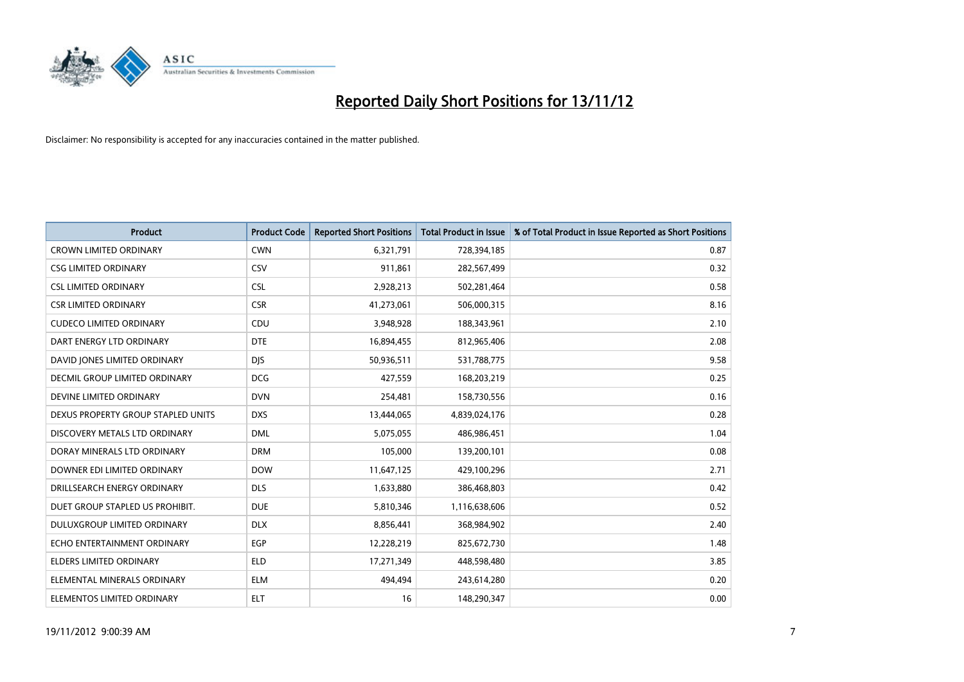

| <b>Product</b>                       | <b>Product Code</b> | <b>Reported Short Positions</b> | <b>Total Product in Issue</b> | % of Total Product in Issue Reported as Short Positions |
|--------------------------------------|---------------------|---------------------------------|-------------------------------|---------------------------------------------------------|
| <b>CROWN LIMITED ORDINARY</b>        | <b>CWN</b>          | 6,321,791                       | 728,394,185                   | 0.87                                                    |
| <b>CSG LIMITED ORDINARY</b>          | CSV                 | 911,861                         | 282,567,499                   | 0.32                                                    |
| <b>CSL LIMITED ORDINARY</b>          | <b>CSL</b>          | 2,928,213                       | 502,281,464                   | 0.58                                                    |
| <b>CSR LIMITED ORDINARY</b>          | <b>CSR</b>          | 41,273,061                      | 506,000,315                   | 8.16                                                    |
| <b>CUDECO LIMITED ORDINARY</b>       | CDU                 | 3,948,928                       | 188,343,961                   | 2.10                                                    |
| DART ENERGY LTD ORDINARY             | <b>DTE</b>          | 16,894,455                      | 812,965,406                   | 2.08                                                    |
| DAVID JONES LIMITED ORDINARY         | <b>DIS</b>          | 50,936,511                      | 531,788,775                   | 9.58                                                    |
| <b>DECMIL GROUP LIMITED ORDINARY</b> | <b>DCG</b>          | 427,559                         | 168,203,219                   | 0.25                                                    |
| DEVINE LIMITED ORDINARY              | <b>DVN</b>          | 254,481                         | 158,730,556                   | 0.16                                                    |
| DEXUS PROPERTY GROUP STAPLED UNITS   | <b>DXS</b>          | 13,444,065                      | 4,839,024,176                 | 0.28                                                    |
| DISCOVERY METALS LTD ORDINARY        | <b>DML</b>          | 5,075,055                       | 486,986,451                   | 1.04                                                    |
| DORAY MINERALS LTD ORDINARY          | <b>DRM</b>          | 105,000                         | 139,200,101                   | 0.08                                                    |
| DOWNER EDI LIMITED ORDINARY          | <b>DOW</b>          | 11,647,125                      | 429,100,296                   | 2.71                                                    |
| DRILLSEARCH ENERGY ORDINARY          | <b>DLS</b>          | 1,633,880                       | 386,468,803                   | 0.42                                                    |
| DUET GROUP STAPLED US PROHIBIT.      | <b>DUE</b>          | 5,810,346                       | 1,116,638,606                 | 0.52                                                    |
| DULUXGROUP LIMITED ORDINARY          | <b>DLX</b>          | 8,856,441                       | 368,984,902                   | 2.40                                                    |
| ECHO ENTERTAINMENT ORDINARY          | EGP                 | 12,228,219                      | 825,672,730                   | 1.48                                                    |
| <b>ELDERS LIMITED ORDINARY</b>       | <b>ELD</b>          | 17,271,349                      | 448,598,480                   | 3.85                                                    |
| ELEMENTAL MINERALS ORDINARY          | <b>ELM</b>          | 494,494                         | 243,614,280                   | 0.20                                                    |
| ELEMENTOS LIMITED ORDINARY           | <b>ELT</b>          | 16                              | 148,290,347                   | 0.00                                                    |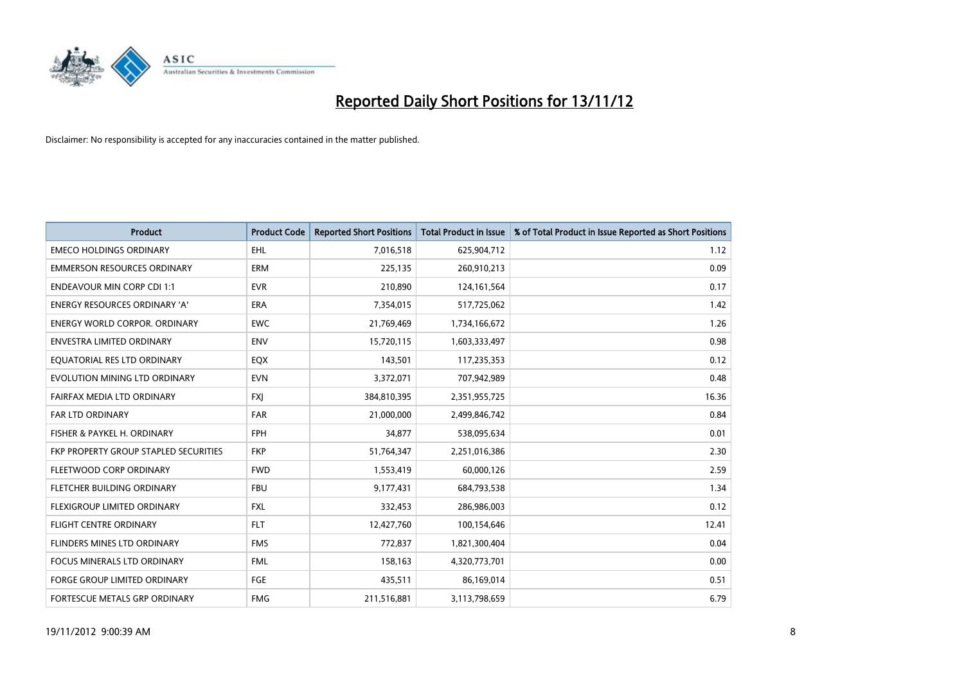

| <b>Product</b>                               | <b>Product Code</b> | <b>Reported Short Positions</b> | <b>Total Product in Issue</b> | % of Total Product in Issue Reported as Short Positions |
|----------------------------------------------|---------------------|---------------------------------|-------------------------------|---------------------------------------------------------|
| <b>EMECO HOLDINGS ORDINARY</b>               | <b>EHL</b>          | 7,016,518                       | 625,904,712                   | 1.12                                                    |
| <b>EMMERSON RESOURCES ORDINARY</b>           | <b>ERM</b>          | 225,135                         | 260,910,213                   | 0.09                                                    |
| <b>ENDEAVOUR MIN CORP CDI 1:1</b>            | <b>EVR</b>          | 210,890                         | 124, 161, 564                 | 0.17                                                    |
| ENERGY RESOURCES ORDINARY 'A'                | ERA                 | 7,354,015                       | 517,725,062                   | 1.42                                                    |
| <b>ENERGY WORLD CORPOR, ORDINARY</b>         | <b>EWC</b>          | 21,769,469                      | 1,734,166,672                 | 1.26                                                    |
| ENVESTRA LIMITED ORDINARY                    | <b>ENV</b>          | 15,720,115                      | 1,603,333,497                 | 0.98                                                    |
| EQUATORIAL RES LTD ORDINARY                  | EQX                 | 143,501                         | 117,235,353                   | 0.12                                                    |
| EVOLUTION MINING LTD ORDINARY                | <b>EVN</b>          | 3,372,071                       | 707,942,989                   | 0.48                                                    |
| FAIRFAX MEDIA LTD ORDINARY                   | <b>FXJ</b>          | 384,810,395                     | 2,351,955,725                 | 16.36                                                   |
| <b>FAR LTD ORDINARY</b>                      | <b>FAR</b>          | 21,000,000                      | 2,499,846,742                 | 0.84                                                    |
| FISHER & PAYKEL H. ORDINARY                  | <b>FPH</b>          | 34,877                          | 538,095,634                   | 0.01                                                    |
| <b>FKP PROPERTY GROUP STAPLED SECURITIES</b> | <b>FKP</b>          | 51,764,347                      | 2,251,016,386                 | 2.30                                                    |
| FLEETWOOD CORP ORDINARY                      | <b>FWD</b>          | 1,553,419                       | 60,000,126                    | 2.59                                                    |
| FLETCHER BUILDING ORDINARY                   | <b>FBU</b>          | 9,177,431                       | 684,793,538                   | 1.34                                                    |
| FLEXIGROUP LIMITED ORDINARY                  | <b>FXL</b>          | 332,453                         | 286,986,003                   | 0.12                                                    |
| <b>FLIGHT CENTRE ORDINARY</b>                | <b>FLT</b>          | 12,427,760                      | 100,154,646                   | 12.41                                                   |
| <b>FLINDERS MINES LTD ORDINARY</b>           | <b>FMS</b>          | 772,837                         | 1,821,300,404                 | 0.04                                                    |
| FOCUS MINERALS LTD ORDINARY                  | <b>FML</b>          | 158,163                         | 4,320,773,701                 | 0.00                                                    |
| <b>FORGE GROUP LIMITED ORDINARY</b>          | FGE                 | 435,511                         | 86,169,014                    | 0.51                                                    |
| FORTESCUE METALS GRP ORDINARY                | <b>FMG</b>          | 211,516,881                     | 3,113,798,659                 | 6.79                                                    |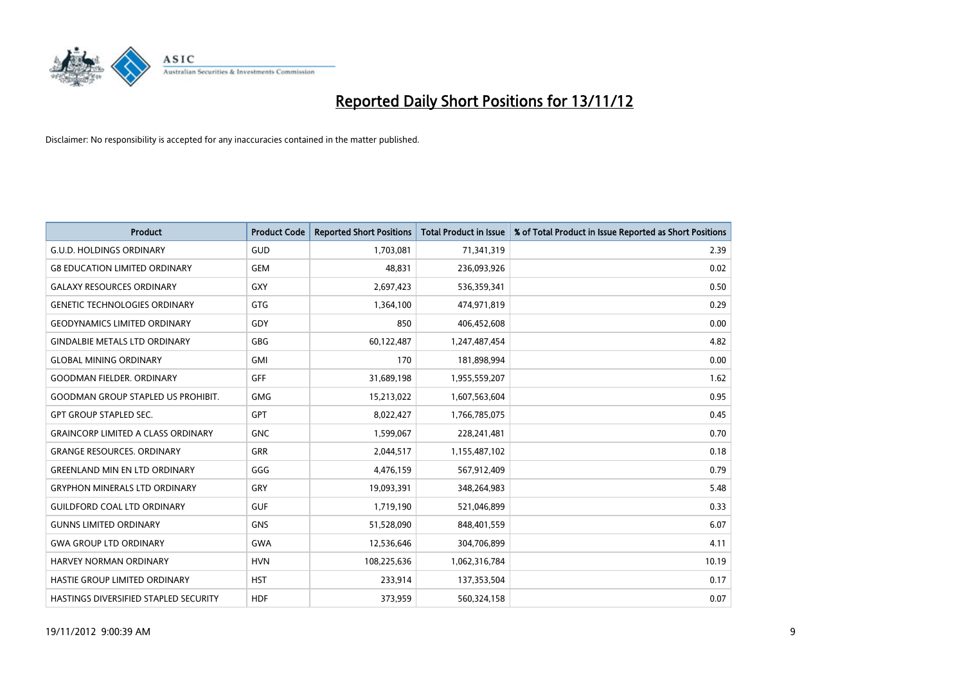

| <b>Product</b>                            | <b>Product Code</b> | <b>Reported Short Positions</b> | <b>Total Product in Issue</b> | % of Total Product in Issue Reported as Short Positions |
|-------------------------------------------|---------------------|---------------------------------|-------------------------------|---------------------------------------------------------|
| <b>G.U.D. HOLDINGS ORDINARY</b>           | <b>GUD</b>          | 1,703,081                       | 71,341,319                    | 2.39                                                    |
| <b>G8 EDUCATION LIMITED ORDINARY</b>      | <b>GEM</b>          | 48,831                          | 236,093,926                   | 0.02                                                    |
| <b>GALAXY RESOURCES ORDINARY</b>          | <b>GXY</b>          | 2,697,423                       | 536,359,341                   | 0.50                                                    |
| <b>GENETIC TECHNOLOGIES ORDINARY</b>      | <b>GTG</b>          | 1,364,100                       | 474,971,819                   | 0.29                                                    |
| <b>GEODYNAMICS LIMITED ORDINARY</b>       | GDY                 | 850                             | 406,452,608                   | 0.00                                                    |
| <b>GINDALBIE METALS LTD ORDINARY</b>      | <b>GBG</b>          | 60,122,487                      | 1,247,487,454                 | 4.82                                                    |
| <b>GLOBAL MINING ORDINARY</b>             | <b>GMI</b>          | 170                             | 181,898,994                   | 0.00                                                    |
| <b>GOODMAN FIELDER, ORDINARY</b>          | <b>GFF</b>          | 31,689,198                      | 1,955,559,207                 | 1.62                                                    |
| <b>GOODMAN GROUP STAPLED US PROHIBIT.</b> | <b>GMG</b>          | 15,213,022                      | 1,607,563,604                 | 0.95                                                    |
| <b>GPT GROUP STAPLED SEC.</b>             | <b>GPT</b>          | 8,022,427                       | 1,766,785,075                 | 0.45                                                    |
| <b>GRAINCORP LIMITED A CLASS ORDINARY</b> | <b>GNC</b>          | 1,599,067                       | 228,241,481                   | 0.70                                                    |
| <b>GRANGE RESOURCES. ORDINARY</b>         | <b>GRR</b>          | 2,044,517                       | 1,155,487,102                 | 0.18                                                    |
| <b>GREENLAND MIN EN LTD ORDINARY</b>      | GGG                 | 4,476,159                       | 567,912,409                   | 0.79                                                    |
| <b>GRYPHON MINERALS LTD ORDINARY</b>      | GRY                 | 19,093,391                      | 348,264,983                   | 5.48                                                    |
| <b>GUILDFORD COAL LTD ORDINARY</b>        | <b>GUF</b>          | 1,719,190                       | 521,046,899                   | 0.33                                                    |
| <b>GUNNS LIMITED ORDINARY</b>             | <b>GNS</b>          | 51,528,090                      | 848,401,559                   | 6.07                                                    |
| <b>GWA GROUP LTD ORDINARY</b>             | <b>GWA</b>          | 12,536,646                      | 304,706,899                   | 4.11                                                    |
| <b>HARVEY NORMAN ORDINARY</b>             | <b>HVN</b>          | 108,225,636                     | 1,062,316,784                 | 10.19                                                   |
| HASTIE GROUP LIMITED ORDINARY             | <b>HST</b>          | 233,914                         | 137,353,504                   | 0.17                                                    |
| HASTINGS DIVERSIFIED STAPLED SECURITY     | <b>HDF</b>          | 373,959                         | 560,324,158                   | 0.07                                                    |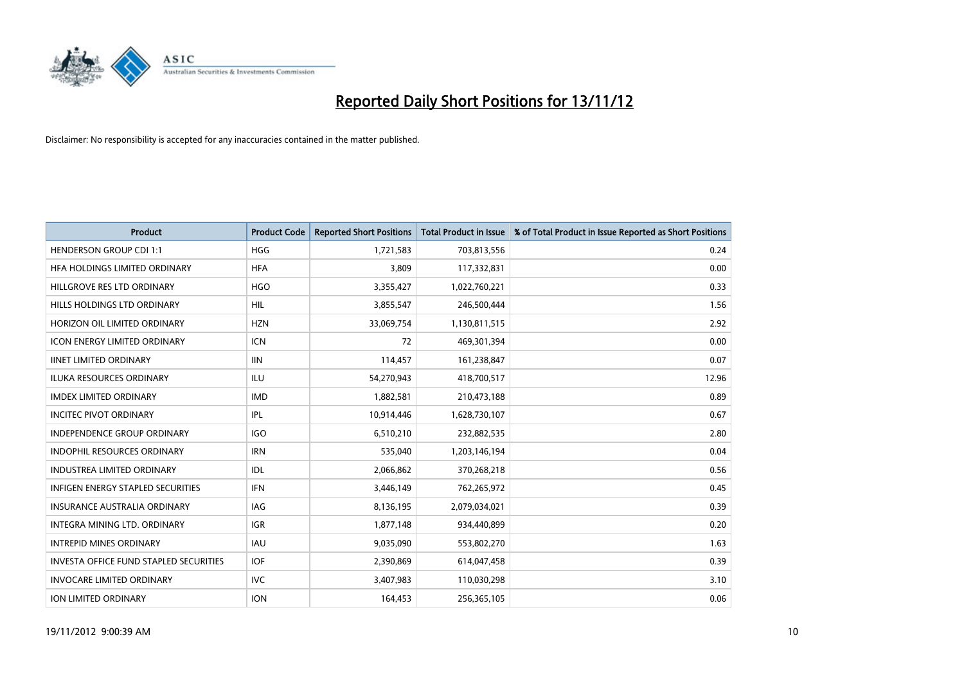

| <b>Product</b>                                | <b>Product Code</b> | <b>Reported Short Positions</b> | <b>Total Product in Issue</b> | % of Total Product in Issue Reported as Short Positions |
|-----------------------------------------------|---------------------|---------------------------------|-------------------------------|---------------------------------------------------------|
| <b>HENDERSON GROUP CDI 1:1</b>                | <b>HGG</b>          | 1,721,583                       | 703,813,556                   | 0.24                                                    |
| HFA HOLDINGS LIMITED ORDINARY                 | <b>HFA</b>          | 3,809                           | 117,332,831                   | 0.00                                                    |
| HILLGROVE RES LTD ORDINARY                    | <b>HGO</b>          | 3,355,427                       | 1,022,760,221                 | 0.33                                                    |
| HILLS HOLDINGS LTD ORDINARY                   | <b>HIL</b>          | 3,855,547                       | 246,500,444                   | 1.56                                                    |
| HORIZON OIL LIMITED ORDINARY                  | <b>HZN</b>          | 33,069,754                      | 1,130,811,515                 | 2.92                                                    |
| <b>ICON ENERGY LIMITED ORDINARY</b>           | <b>ICN</b>          | 72                              | 469,301,394                   | 0.00                                                    |
| <b>IINET LIMITED ORDINARY</b>                 | <b>IIN</b>          | 114,457                         | 161,238,847                   | 0.07                                                    |
| ILUKA RESOURCES ORDINARY                      | ILU                 | 54,270,943                      | 418,700,517                   | 12.96                                                   |
| <b>IMDEX LIMITED ORDINARY</b>                 | <b>IMD</b>          | 1,882,581                       | 210,473,188                   | 0.89                                                    |
| <b>INCITEC PIVOT ORDINARY</b>                 | IPL                 | 10,914,446                      | 1,628,730,107                 | 0.67                                                    |
| INDEPENDENCE GROUP ORDINARY                   | <b>IGO</b>          | 6,510,210                       | 232,882,535                   | 2.80                                                    |
| <b>INDOPHIL RESOURCES ORDINARY</b>            | <b>IRN</b>          | 535,040                         | 1,203,146,194                 | 0.04                                                    |
| INDUSTREA LIMITED ORDINARY                    | IDL                 | 2,066,862                       | 370,268,218                   | 0.56                                                    |
| <b>INFIGEN ENERGY STAPLED SECURITIES</b>      | <b>IFN</b>          | 3,446,149                       | 762,265,972                   | 0.45                                                    |
| <b>INSURANCE AUSTRALIA ORDINARY</b>           | IAG                 | 8,136,195                       | 2,079,034,021                 | 0.39                                                    |
| INTEGRA MINING LTD. ORDINARY                  | <b>IGR</b>          | 1,877,148                       | 934,440,899                   | 0.20                                                    |
| <b>INTREPID MINES ORDINARY</b>                | <b>IAU</b>          | 9,035,090                       | 553,802,270                   | 1.63                                                    |
| <b>INVESTA OFFICE FUND STAPLED SECURITIES</b> | <b>IOF</b>          | 2,390,869                       | 614,047,458                   | 0.39                                                    |
| <b>INVOCARE LIMITED ORDINARY</b>              | IVC                 | 3,407,983                       | 110,030,298                   | 3.10                                                    |
| <b>ION LIMITED ORDINARY</b>                   | <b>ION</b>          | 164,453                         | 256,365,105                   | 0.06                                                    |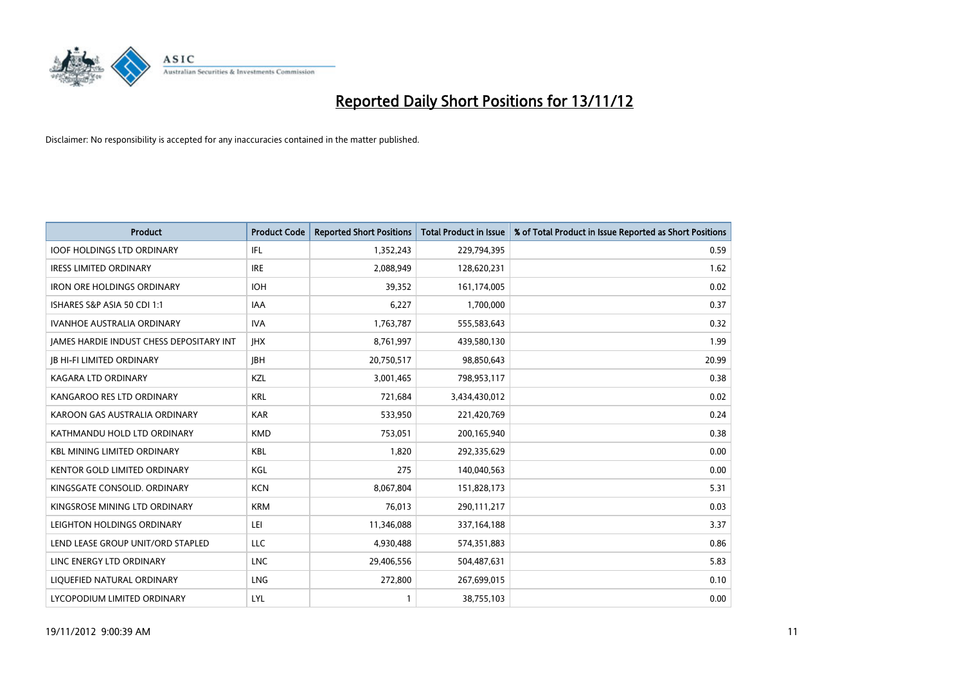

| <b>Product</b>                                  | <b>Product Code</b> | <b>Reported Short Positions</b> | <b>Total Product in Issue</b> | % of Total Product in Issue Reported as Short Positions |
|-------------------------------------------------|---------------------|---------------------------------|-------------------------------|---------------------------------------------------------|
| <b>IOOF HOLDINGS LTD ORDINARY</b>               | IFL                 | 1,352,243                       | 229,794,395                   | 0.59                                                    |
| <b>IRESS LIMITED ORDINARY</b>                   | <b>IRE</b>          | 2,088,949                       | 128,620,231                   | 1.62                                                    |
| <b>IRON ORE HOLDINGS ORDINARY</b>               | <b>IOH</b>          | 39,352                          | 161,174,005                   | 0.02                                                    |
| ISHARES S&P ASIA 50 CDI 1:1                     | <b>IAA</b>          | 6,227                           | 1,700,000                     | 0.37                                                    |
| <b>IVANHOE AUSTRALIA ORDINARY</b>               | <b>IVA</b>          | 1,763,787                       | 555,583,643                   | 0.32                                                    |
| <b>JAMES HARDIE INDUST CHESS DEPOSITARY INT</b> | <b>IHX</b>          | 8,761,997                       | 439,580,130                   | 1.99                                                    |
| <b>JB HI-FI LIMITED ORDINARY</b>                | <b>IBH</b>          | 20,750,517                      | 98,850,643                    | 20.99                                                   |
| KAGARA LTD ORDINARY                             | KZL                 | 3,001,465                       | 798,953,117                   | 0.38                                                    |
| KANGAROO RES LTD ORDINARY                       | <b>KRL</b>          | 721,684                         | 3,434,430,012                 | 0.02                                                    |
| KAROON GAS AUSTRALIA ORDINARY                   | <b>KAR</b>          | 533,950                         | 221,420,769                   | 0.24                                                    |
| KATHMANDU HOLD LTD ORDINARY                     | <b>KMD</b>          | 753,051                         | 200,165,940                   | 0.38                                                    |
| <b>KBL MINING LIMITED ORDINARY</b>              | <b>KBL</b>          | 1,820                           | 292,335,629                   | 0.00                                                    |
| KENTOR GOLD LIMITED ORDINARY                    | KGL                 | 275                             | 140,040,563                   | 0.00                                                    |
| KINGSGATE CONSOLID. ORDINARY                    | <b>KCN</b>          | 8,067,804                       | 151,828,173                   | 5.31                                                    |
| KINGSROSE MINING LTD ORDINARY                   | <b>KRM</b>          | 76,013                          | 290,111,217                   | 0.03                                                    |
| LEIGHTON HOLDINGS ORDINARY                      | LEI                 | 11,346,088                      | 337, 164, 188                 | 3.37                                                    |
| LEND LEASE GROUP UNIT/ORD STAPLED               | LLC                 | 4,930,488                       | 574,351,883                   | 0.86                                                    |
| LINC ENERGY LTD ORDINARY                        | <b>LNC</b>          | 29,406,556                      | 504,487,631                   | 5.83                                                    |
| LIOUEFIED NATURAL ORDINARY                      | <b>LNG</b>          | 272,800                         | 267,699,015                   | 0.10                                                    |
| LYCOPODIUM LIMITED ORDINARY                     | LYL                 |                                 | 38,755,103                    | 0.00                                                    |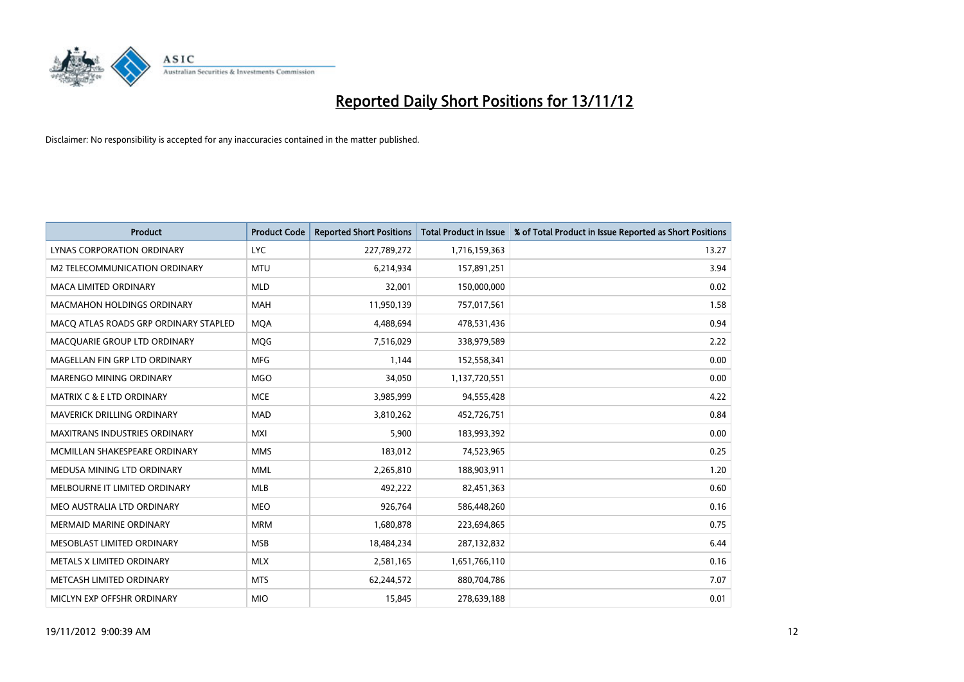

| <b>Product</b>                        | <b>Product Code</b> | <b>Reported Short Positions</b> | <b>Total Product in Issue</b> | % of Total Product in Issue Reported as Short Positions |
|---------------------------------------|---------------------|---------------------------------|-------------------------------|---------------------------------------------------------|
| LYNAS CORPORATION ORDINARY            | <b>LYC</b>          | 227,789,272                     | 1,716,159,363                 | 13.27                                                   |
| M2 TELECOMMUNICATION ORDINARY         | <b>MTU</b>          | 6,214,934                       | 157,891,251                   | 3.94                                                    |
| <b>MACA LIMITED ORDINARY</b>          | <b>MLD</b>          | 32,001                          | 150,000,000                   | 0.02                                                    |
| <b>MACMAHON HOLDINGS ORDINARY</b>     | <b>MAH</b>          | 11,950,139                      | 757,017,561                   | 1.58                                                    |
| MACQ ATLAS ROADS GRP ORDINARY STAPLED | <b>MOA</b>          | 4,488,694                       | 478,531,436                   | 0.94                                                    |
| MACQUARIE GROUP LTD ORDINARY          | <b>MOG</b>          | 7,516,029                       | 338,979,589                   | 2.22                                                    |
| MAGELLAN FIN GRP LTD ORDINARY         | <b>MFG</b>          | 1,144                           | 152,558,341                   | 0.00                                                    |
| MARENGO MINING ORDINARY               | <b>MGO</b>          | 34,050                          | 1,137,720,551                 | 0.00                                                    |
| MATRIX C & E LTD ORDINARY             | <b>MCE</b>          | 3,985,999                       | 94,555,428                    | 4.22                                                    |
| <b>MAVERICK DRILLING ORDINARY</b>     | <b>MAD</b>          | 3,810,262                       | 452,726,751                   | 0.84                                                    |
| <b>MAXITRANS INDUSTRIES ORDINARY</b>  | <b>MXI</b>          | 5,900                           | 183,993,392                   | 0.00                                                    |
| MCMILLAN SHAKESPEARE ORDINARY         | <b>MMS</b>          | 183,012                         | 74,523,965                    | 0.25                                                    |
| MEDUSA MINING LTD ORDINARY            | <b>MML</b>          | 2,265,810                       | 188,903,911                   | 1.20                                                    |
| MELBOURNE IT LIMITED ORDINARY         | <b>MLB</b>          | 492,222                         | 82,451,363                    | 0.60                                                    |
| MEO AUSTRALIA LTD ORDINARY            | <b>MEO</b>          | 926,764                         | 586,448,260                   | 0.16                                                    |
| <b>MERMAID MARINE ORDINARY</b>        | <b>MRM</b>          | 1,680,878                       | 223,694,865                   | 0.75                                                    |
| MESOBLAST LIMITED ORDINARY            | <b>MSB</b>          | 18,484,234                      | 287,132,832                   | 6.44                                                    |
| METALS X LIMITED ORDINARY             | <b>MLX</b>          | 2,581,165                       | 1,651,766,110                 | 0.16                                                    |
| METCASH LIMITED ORDINARY              | <b>MTS</b>          | 62,244,572                      | 880,704,786                   | 7.07                                                    |
| MICLYN EXP OFFSHR ORDINARY            | <b>MIO</b>          | 15,845                          | 278,639,188                   | 0.01                                                    |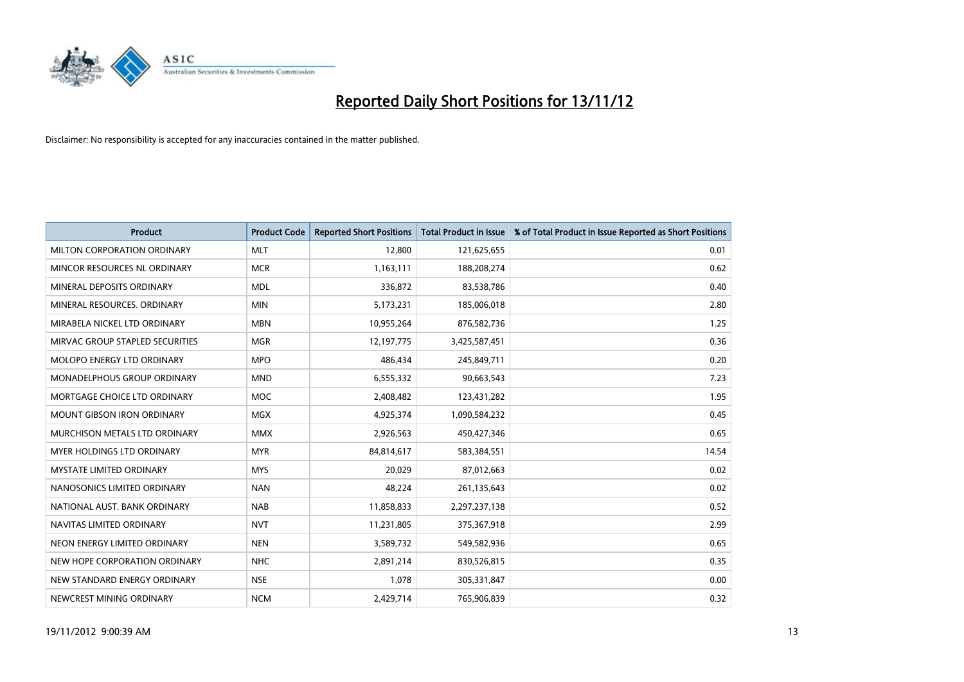

| <b>Product</b>                    | <b>Product Code</b> | <b>Reported Short Positions</b> | <b>Total Product in Issue</b> | % of Total Product in Issue Reported as Short Positions |
|-----------------------------------|---------------------|---------------------------------|-------------------------------|---------------------------------------------------------|
| MILTON CORPORATION ORDINARY       | <b>MLT</b>          | 12,800                          | 121,625,655                   | 0.01                                                    |
| MINCOR RESOURCES NL ORDINARY      | <b>MCR</b>          | 1,163,111                       | 188,208,274                   | 0.62                                                    |
| MINERAL DEPOSITS ORDINARY         | <b>MDL</b>          | 336.872                         | 83,538,786                    | 0.40                                                    |
| MINERAL RESOURCES. ORDINARY       | <b>MIN</b>          | 5,173,231                       | 185,006,018                   | 2.80                                                    |
| MIRABELA NICKEL LTD ORDINARY      | <b>MBN</b>          | 10,955,264                      | 876,582,736                   | 1.25                                                    |
| MIRVAC GROUP STAPLED SECURITIES   | <b>MGR</b>          | 12,197,775                      | 3,425,587,451                 | 0.36                                                    |
| <b>MOLOPO ENERGY LTD ORDINARY</b> | <b>MPO</b>          | 486.434                         | 245,849,711                   | 0.20                                                    |
| MONADELPHOUS GROUP ORDINARY       | <b>MND</b>          | 6,555,332                       | 90,663,543                    | 7.23                                                    |
| MORTGAGE CHOICE LTD ORDINARY      | <b>MOC</b>          | 2,408,482                       | 123,431,282                   | 1.95                                                    |
| <b>MOUNT GIBSON IRON ORDINARY</b> | <b>MGX</b>          | 4,925,374                       | 1,090,584,232                 | 0.45                                                    |
| MURCHISON METALS LTD ORDINARY     | <b>MMX</b>          | 2,926,563                       | 450,427,346                   | 0.65                                                    |
| <b>MYER HOLDINGS LTD ORDINARY</b> | <b>MYR</b>          | 84,814,617                      | 583,384,551                   | 14.54                                                   |
| MYSTATE LIMITED ORDINARY          | <b>MYS</b>          | 20,029                          | 87,012,663                    | 0.02                                                    |
| NANOSONICS LIMITED ORDINARY       | <b>NAN</b>          | 48,224                          | 261,135,643                   | 0.02                                                    |
| NATIONAL AUST, BANK ORDINARY      | <b>NAB</b>          | 11,858,833                      | 2,297,237,138                 | 0.52                                                    |
| NAVITAS LIMITED ORDINARY          | <b>NVT</b>          | 11,231,805                      | 375,367,918                   | 2.99                                                    |
| NEON ENERGY LIMITED ORDINARY      | <b>NEN</b>          | 3,589,732                       | 549,582,936                   | 0.65                                                    |
| NEW HOPE CORPORATION ORDINARY     | <b>NHC</b>          | 2,891,214                       | 830,526,815                   | 0.35                                                    |
| NEW STANDARD ENERGY ORDINARY      | <b>NSE</b>          | 1,078                           | 305,331,847                   | 0.00                                                    |
| NEWCREST MINING ORDINARY          | <b>NCM</b>          | 2,429,714                       | 765,906,839                   | 0.32                                                    |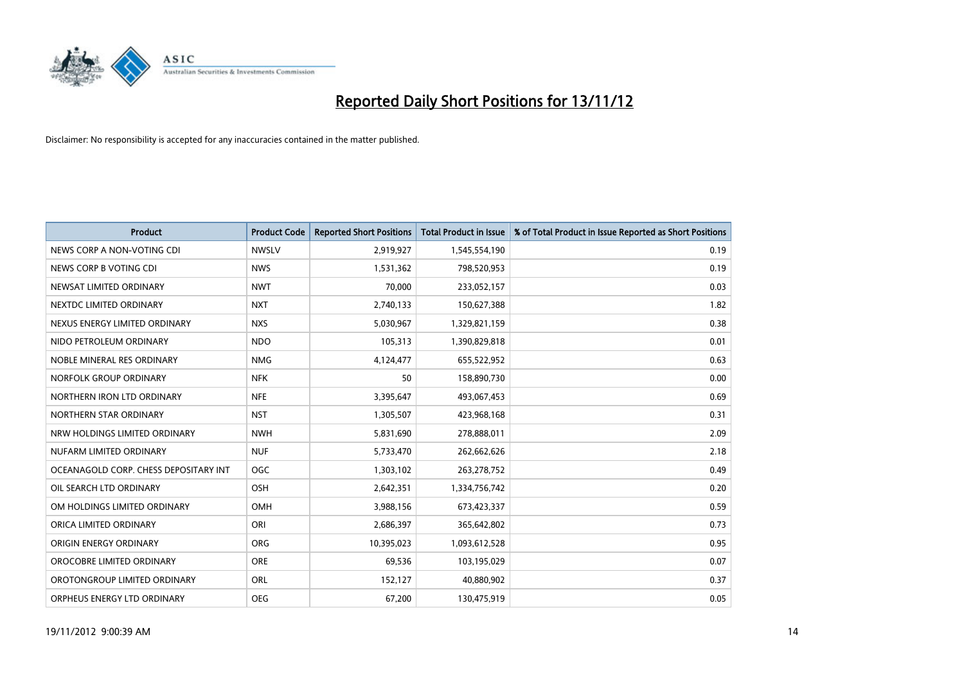

| <b>Product</b>                        | <b>Product Code</b> | <b>Reported Short Positions</b> | <b>Total Product in Issue</b> | % of Total Product in Issue Reported as Short Positions |
|---------------------------------------|---------------------|---------------------------------|-------------------------------|---------------------------------------------------------|
| NEWS CORP A NON-VOTING CDI            | <b>NWSLV</b>        | 2,919,927                       | 1,545,554,190                 | 0.19                                                    |
| NEWS CORP B VOTING CDI                | <b>NWS</b>          | 1,531,362                       | 798,520,953                   | 0.19                                                    |
| NEWSAT LIMITED ORDINARY               | <b>NWT</b>          | 70,000                          | 233,052,157                   | 0.03                                                    |
| NEXTDC LIMITED ORDINARY               | <b>NXT</b>          | 2,740,133                       | 150,627,388                   | 1.82                                                    |
| NEXUS ENERGY LIMITED ORDINARY         | <b>NXS</b>          | 5,030,967                       | 1,329,821,159                 | 0.38                                                    |
| NIDO PETROLEUM ORDINARY               | <b>NDO</b>          | 105,313                         | 1,390,829,818                 | 0.01                                                    |
| NOBLE MINERAL RES ORDINARY            | <b>NMG</b>          | 4,124,477                       | 655,522,952                   | 0.63                                                    |
| NORFOLK GROUP ORDINARY                | <b>NFK</b>          | 50                              | 158,890,730                   | 0.00                                                    |
| NORTHERN IRON LTD ORDINARY            | <b>NFE</b>          | 3,395,647                       | 493,067,453                   | 0.69                                                    |
| NORTHERN STAR ORDINARY                | <b>NST</b>          | 1,305,507                       | 423,968,168                   | 0.31                                                    |
| NRW HOLDINGS LIMITED ORDINARY         | <b>NWH</b>          | 5,831,690                       | 278,888,011                   | 2.09                                                    |
| NUFARM LIMITED ORDINARY               | <b>NUF</b>          | 5,733,470                       | 262,662,626                   | 2.18                                                    |
| OCEANAGOLD CORP. CHESS DEPOSITARY INT | <b>OGC</b>          | 1,303,102                       | 263,278,752                   | 0.49                                                    |
| OIL SEARCH LTD ORDINARY               | OSH                 | 2,642,351                       | 1,334,756,742                 | 0.20                                                    |
| OM HOLDINGS LIMITED ORDINARY          | OMH                 | 3,988,156                       | 673,423,337                   | 0.59                                                    |
| ORICA LIMITED ORDINARY                | ORI                 | 2,686,397                       | 365,642,802                   | 0.73                                                    |
| ORIGIN ENERGY ORDINARY                | <b>ORG</b>          | 10,395,023                      | 1,093,612,528                 | 0.95                                                    |
| OROCOBRE LIMITED ORDINARY             | <b>ORE</b>          | 69,536                          | 103,195,029                   | 0.07                                                    |
| OROTONGROUP LIMITED ORDINARY          | ORL                 | 152,127                         | 40,880,902                    | 0.37                                                    |
| ORPHEUS ENERGY LTD ORDINARY           | <b>OEG</b>          | 67,200                          | 130,475,919                   | 0.05                                                    |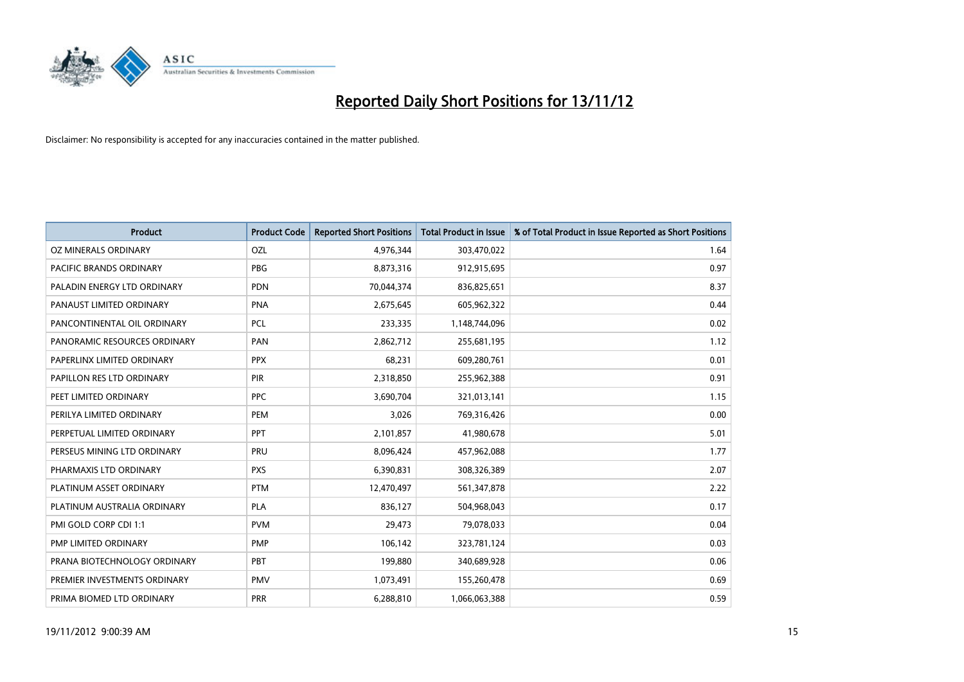

| <b>Product</b>               | <b>Product Code</b> | <b>Reported Short Positions</b> | <b>Total Product in Issue</b> | % of Total Product in Issue Reported as Short Positions |
|------------------------------|---------------------|---------------------------------|-------------------------------|---------------------------------------------------------|
| OZ MINERALS ORDINARY         | OZL                 | 4,976,344                       | 303,470,022                   | 1.64                                                    |
| PACIFIC BRANDS ORDINARY      | <b>PBG</b>          | 8,873,316                       | 912,915,695                   | 0.97                                                    |
| PALADIN ENERGY LTD ORDINARY  | <b>PDN</b>          | 70,044,374                      | 836,825,651                   | 8.37                                                    |
| PANAUST LIMITED ORDINARY     | <b>PNA</b>          | 2,675,645                       | 605,962,322                   | 0.44                                                    |
| PANCONTINENTAL OIL ORDINARY  | PCL                 | 233,335                         | 1,148,744,096                 | 0.02                                                    |
| PANORAMIC RESOURCES ORDINARY | PAN                 | 2,862,712                       | 255,681,195                   | 1.12                                                    |
| PAPERLINX LIMITED ORDINARY   | <b>PPX</b>          | 68,231                          | 609,280,761                   | 0.01                                                    |
| PAPILLON RES LTD ORDINARY    | PIR                 | 2,318,850                       | 255,962,388                   | 0.91                                                    |
| PEET LIMITED ORDINARY        | <b>PPC</b>          | 3,690,704                       | 321,013,141                   | 1.15                                                    |
| PERILYA LIMITED ORDINARY     | PEM                 | 3,026                           | 769,316,426                   | 0.00                                                    |
| PERPETUAL LIMITED ORDINARY   | <b>PPT</b>          | 2,101,857                       | 41,980,678                    | 5.01                                                    |
| PERSEUS MINING LTD ORDINARY  | PRU                 | 8,096,424                       | 457,962,088                   | 1.77                                                    |
| PHARMAXIS LTD ORDINARY       | <b>PXS</b>          | 6,390,831                       | 308,326,389                   | 2.07                                                    |
| PLATINUM ASSET ORDINARY      | <b>PTM</b>          | 12,470,497                      | 561,347,878                   | 2.22                                                    |
| PLATINUM AUSTRALIA ORDINARY  | PLA                 | 836,127                         | 504,968,043                   | 0.17                                                    |
| PMI GOLD CORP CDI 1:1        | <b>PVM</b>          | 29,473                          | 79,078,033                    | 0.04                                                    |
| PMP LIMITED ORDINARY         | <b>PMP</b>          | 106,142                         | 323,781,124                   | 0.03                                                    |
| PRANA BIOTECHNOLOGY ORDINARY | PBT                 | 199,880                         | 340,689,928                   | 0.06                                                    |
| PREMIER INVESTMENTS ORDINARY | <b>PMV</b>          | 1,073,491                       | 155,260,478                   | 0.69                                                    |
| PRIMA BIOMED LTD ORDINARY    | <b>PRR</b>          | 6,288,810                       | 1,066,063,388                 | 0.59                                                    |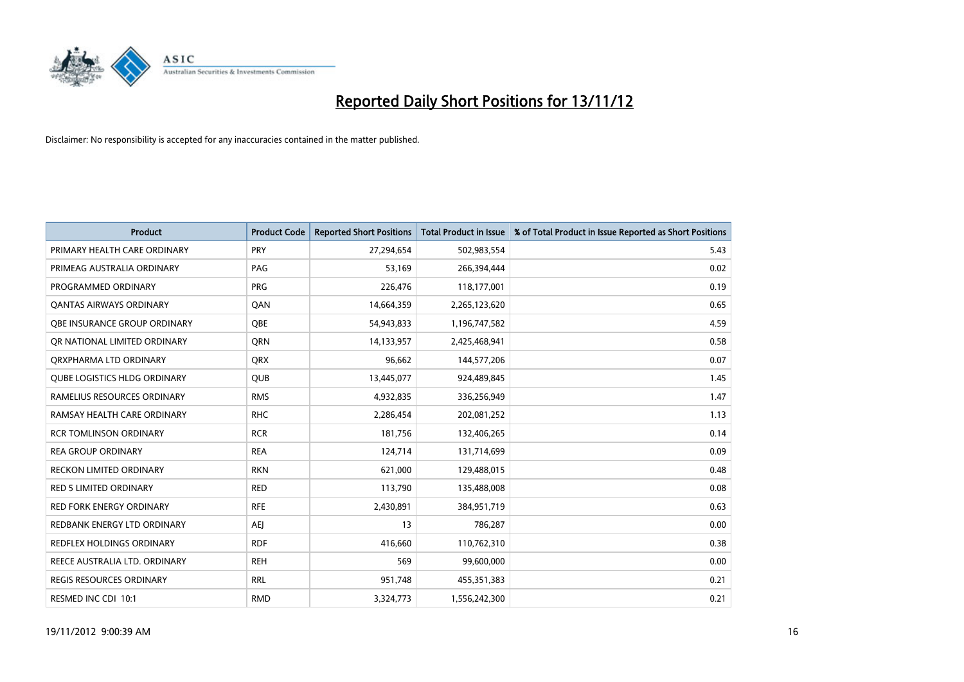

| <b>Product</b>                      | <b>Product Code</b> | <b>Reported Short Positions</b> | <b>Total Product in Issue</b> | % of Total Product in Issue Reported as Short Positions |
|-------------------------------------|---------------------|---------------------------------|-------------------------------|---------------------------------------------------------|
| PRIMARY HEALTH CARE ORDINARY        | <b>PRY</b>          | 27,294,654                      | 502,983,554                   | 5.43                                                    |
| PRIMEAG AUSTRALIA ORDINARY          | PAG                 | 53,169                          | 266,394,444                   | 0.02                                                    |
| PROGRAMMED ORDINARY                 | <b>PRG</b>          | 226,476                         | 118,177,001                   | 0.19                                                    |
| <b>QANTAS AIRWAYS ORDINARY</b>      | QAN                 | 14,664,359                      | 2,265,123,620                 | 0.65                                                    |
| OBE INSURANCE GROUP ORDINARY        | <b>OBE</b>          | 54,943,833                      | 1,196,747,582                 | 4.59                                                    |
| OR NATIONAL LIMITED ORDINARY        | <b>ORN</b>          | 14,133,957                      | 2,425,468,941                 | 0.58                                                    |
| QRXPHARMA LTD ORDINARY              | <b>ORX</b>          | 96,662                          | 144,577,206                   | 0.07                                                    |
| <b>QUBE LOGISTICS HLDG ORDINARY</b> | QUB                 | 13,445,077                      | 924,489,845                   | 1.45                                                    |
| RAMELIUS RESOURCES ORDINARY         | <b>RMS</b>          | 4,932,835                       | 336,256,949                   | 1.47                                                    |
| RAMSAY HEALTH CARE ORDINARY         | <b>RHC</b>          | 2,286,454                       | 202,081,252                   | 1.13                                                    |
| <b>RCR TOMLINSON ORDINARY</b>       | <b>RCR</b>          | 181,756                         | 132,406,265                   | 0.14                                                    |
| <b>REA GROUP ORDINARY</b>           | <b>REA</b>          | 124,714                         | 131,714,699                   | 0.09                                                    |
| <b>RECKON LIMITED ORDINARY</b>      | <b>RKN</b>          | 621,000                         | 129,488,015                   | 0.48                                                    |
| <b>RED 5 LIMITED ORDINARY</b>       | <b>RED</b>          | 113,790                         | 135,488,008                   | 0.08                                                    |
| <b>RED FORK ENERGY ORDINARY</b>     | <b>RFE</b>          | 2,430,891                       | 384,951,719                   | 0.63                                                    |
| REDBANK ENERGY LTD ORDINARY         | AEI                 | 13                              | 786,287                       | 0.00                                                    |
| REDFLEX HOLDINGS ORDINARY           | <b>RDF</b>          | 416,660                         | 110,762,310                   | 0.38                                                    |
| REECE AUSTRALIA LTD. ORDINARY       | <b>REH</b>          | 569                             | 99,600,000                    | 0.00                                                    |
| <b>REGIS RESOURCES ORDINARY</b>     | <b>RRL</b>          | 951,748                         | 455,351,383                   | 0.21                                                    |
| RESMED INC CDI 10:1                 | <b>RMD</b>          | 3,324,773                       | 1,556,242,300                 | 0.21                                                    |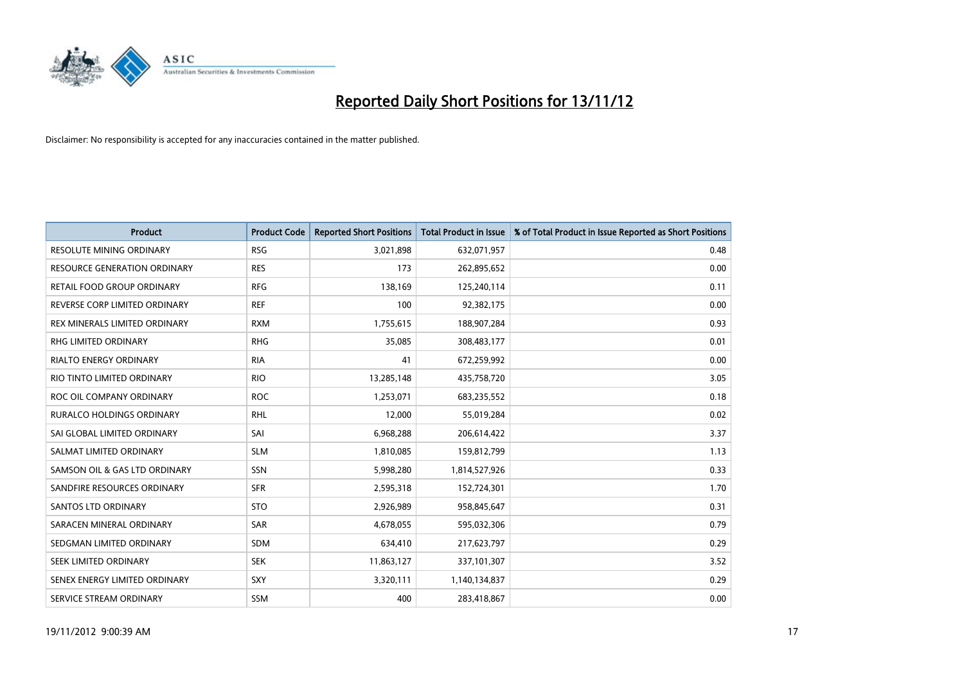

| <b>Product</b>                   | <b>Product Code</b> | <b>Reported Short Positions</b> | <b>Total Product in Issue</b> | % of Total Product in Issue Reported as Short Positions |
|----------------------------------|---------------------|---------------------------------|-------------------------------|---------------------------------------------------------|
| <b>RESOLUTE MINING ORDINARY</b>  | <b>RSG</b>          | 3,021,898                       | 632,071,957                   | 0.48                                                    |
| RESOURCE GENERATION ORDINARY     | <b>RES</b>          | 173                             | 262,895,652                   | 0.00                                                    |
| RETAIL FOOD GROUP ORDINARY       | <b>RFG</b>          | 138,169                         | 125,240,114                   | 0.11                                                    |
| REVERSE CORP LIMITED ORDINARY    | <b>REF</b>          | 100                             | 92,382,175                    | 0.00                                                    |
| REX MINERALS LIMITED ORDINARY    | <b>RXM</b>          | 1,755,615                       | 188,907,284                   | 0.93                                                    |
| <b>RHG LIMITED ORDINARY</b>      | <b>RHG</b>          | 35,085                          | 308,483,177                   | 0.01                                                    |
| <b>RIALTO ENERGY ORDINARY</b>    | <b>RIA</b>          | 41                              | 672,259,992                   | 0.00                                                    |
| RIO TINTO LIMITED ORDINARY       | <b>RIO</b>          | 13,285,148                      | 435,758,720                   | 3.05                                                    |
| ROC OIL COMPANY ORDINARY         | <b>ROC</b>          | 1,253,071                       | 683,235,552                   | 0.18                                                    |
| <b>RURALCO HOLDINGS ORDINARY</b> | <b>RHL</b>          | 12,000                          | 55,019,284                    | 0.02                                                    |
| SAI GLOBAL LIMITED ORDINARY      | SAI                 | 6,968,288                       | 206,614,422                   | 3.37                                                    |
| SALMAT LIMITED ORDINARY          | <b>SLM</b>          | 1,810,085                       | 159,812,799                   | 1.13                                                    |
| SAMSON OIL & GAS LTD ORDINARY    | <b>SSN</b>          | 5,998,280                       | 1,814,527,926                 | 0.33                                                    |
| SANDFIRE RESOURCES ORDINARY      | <b>SFR</b>          | 2,595,318                       | 152,724,301                   | 1.70                                                    |
| <b>SANTOS LTD ORDINARY</b>       | <b>STO</b>          | 2,926,989                       | 958,845,647                   | 0.31                                                    |
| SARACEN MINERAL ORDINARY         | SAR                 | 4,678,055                       | 595,032,306                   | 0.79                                                    |
| SEDGMAN LIMITED ORDINARY         | <b>SDM</b>          | 634,410                         | 217,623,797                   | 0.29                                                    |
| SEEK LIMITED ORDINARY            | <b>SEK</b>          | 11,863,127                      | 337,101,307                   | 3.52                                                    |
| SENEX ENERGY LIMITED ORDINARY    | <b>SXY</b>          | 3,320,111                       | 1,140,134,837                 | 0.29                                                    |
| SERVICE STREAM ORDINARY          | <b>SSM</b>          | 400                             | 283,418,867                   | 0.00                                                    |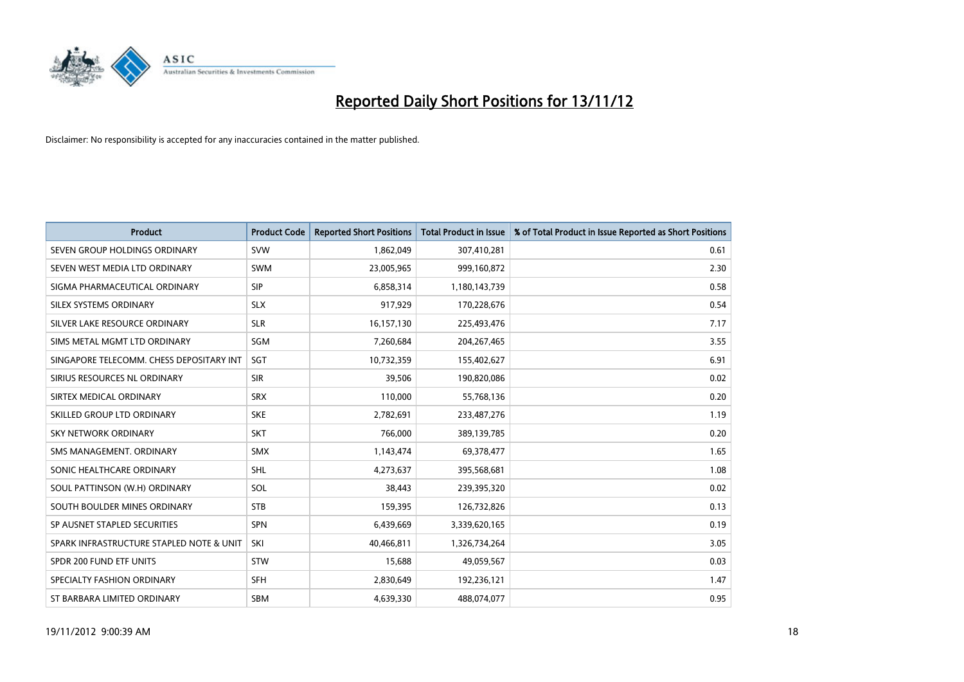

| <b>Product</b>                           | <b>Product Code</b> | <b>Reported Short Positions</b> | <b>Total Product in Issue</b> | % of Total Product in Issue Reported as Short Positions |
|------------------------------------------|---------------------|---------------------------------|-------------------------------|---------------------------------------------------------|
| SEVEN GROUP HOLDINGS ORDINARY            | <b>SVW</b>          | 1,862,049                       | 307,410,281                   | 0.61                                                    |
| SEVEN WEST MEDIA LTD ORDINARY            | <b>SWM</b>          | 23,005,965                      | 999,160,872                   | 2.30                                                    |
| SIGMA PHARMACEUTICAL ORDINARY            | <b>SIP</b>          | 6,858,314                       | 1,180,143,739                 | 0.58                                                    |
| SILEX SYSTEMS ORDINARY                   | <b>SLX</b>          | 917,929                         | 170,228,676                   | 0.54                                                    |
| SILVER LAKE RESOURCE ORDINARY            | <b>SLR</b>          | 16,157,130                      | 225,493,476                   | 7.17                                                    |
| SIMS METAL MGMT LTD ORDINARY             | SGM                 | 7,260,684                       | 204, 267, 465                 | 3.55                                                    |
| SINGAPORE TELECOMM. CHESS DEPOSITARY INT | <b>SGT</b>          | 10,732,359                      | 155,402,627                   | 6.91                                                    |
| SIRIUS RESOURCES NL ORDINARY             | <b>SIR</b>          | 39,506                          | 190,820,086                   | 0.02                                                    |
| SIRTEX MEDICAL ORDINARY                  | <b>SRX</b>          | 110,000                         | 55,768,136                    | 0.20                                                    |
| SKILLED GROUP LTD ORDINARY               | <b>SKE</b>          | 2,782,691                       | 233,487,276                   | 1.19                                                    |
| SKY NETWORK ORDINARY                     | <b>SKT</b>          | 766,000                         | 389,139,785                   | 0.20                                                    |
| SMS MANAGEMENT, ORDINARY                 | <b>SMX</b>          | 1,143,474                       | 69,378,477                    | 1.65                                                    |
| SONIC HEALTHCARE ORDINARY                | <b>SHL</b>          | 4,273,637                       | 395,568,681                   | 1.08                                                    |
| SOUL PATTINSON (W.H) ORDINARY            | SOL                 | 38,443                          | 239,395,320                   | 0.02                                                    |
| SOUTH BOULDER MINES ORDINARY             | <b>STB</b>          | 159,395                         | 126,732,826                   | 0.13                                                    |
| SP AUSNET STAPLED SECURITIES             | <b>SPN</b>          | 6,439,669                       | 3,339,620,165                 | 0.19                                                    |
| SPARK INFRASTRUCTURE STAPLED NOTE & UNIT | SKI                 | 40,466,811                      | 1,326,734,264                 | 3.05                                                    |
| SPDR 200 FUND ETF UNITS                  | <b>STW</b>          | 15,688                          | 49,059,567                    | 0.03                                                    |
| SPECIALTY FASHION ORDINARY               | <b>SFH</b>          | 2,830,649                       | 192,236,121                   | 1.47                                                    |
| ST BARBARA LIMITED ORDINARY              | <b>SBM</b>          | 4,639,330                       | 488,074,077                   | 0.95                                                    |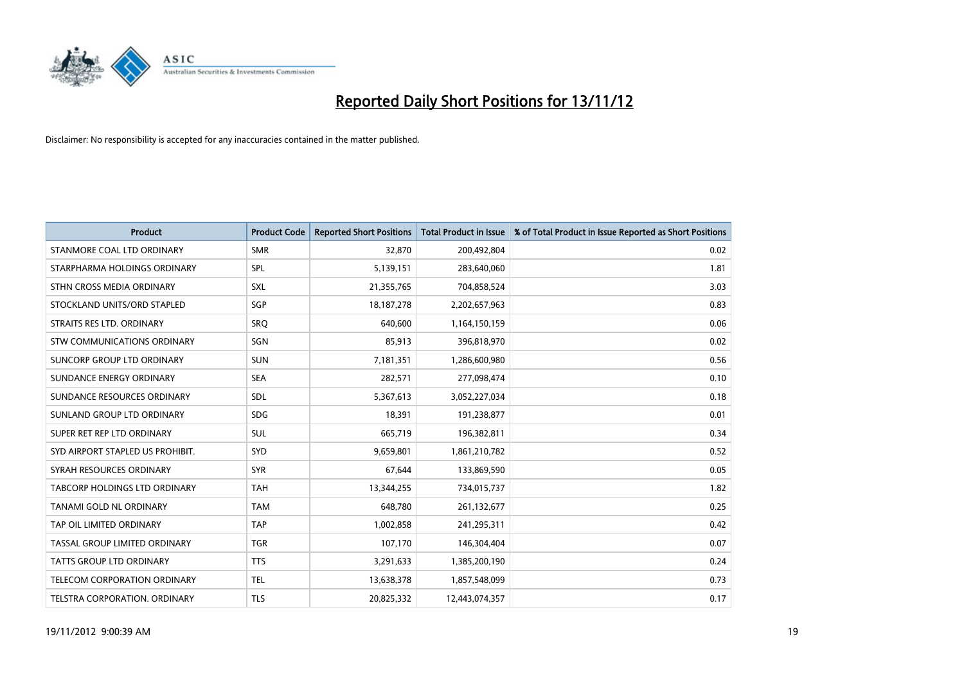

| <b>Product</b>                       | <b>Product Code</b> | <b>Reported Short Positions</b> | <b>Total Product in Issue</b> | % of Total Product in Issue Reported as Short Positions |
|--------------------------------------|---------------------|---------------------------------|-------------------------------|---------------------------------------------------------|
| STANMORE COAL LTD ORDINARY           | <b>SMR</b>          | 32,870                          | 200,492,804                   | 0.02                                                    |
| STARPHARMA HOLDINGS ORDINARY         | <b>SPL</b>          | 5,139,151                       | 283,640,060                   | 1.81                                                    |
| STHN CROSS MEDIA ORDINARY            | <b>SXL</b>          | 21,355,765                      | 704,858,524                   | 3.03                                                    |
| STOCKLAND UNITS/ORD STAPLED          | SGP                 | 18, 187, 278                    | 2,202,657,963                 | 0.83                                                    |
| STRAITS RES LTD. ORDINARY            | SRO                 | 640,600                         | 1,164,150,159                 | 0.06                                                    |
| <b>STW COMMUNICATIONS ORDINARY</b>   | SGN                 | 85,913                          | 396,818,970                   | 0.02                                                    |
| SUNCORP GROUP LTD ORDINARY           | <b>SUN</b>          | 7,181,351                       | 1,286,600,980                 | 0.56                                                    |
| SUNDANCE ENERGY ORDINARY             | <b>SEA</b>          | 282,571                         | 277,098,474                   | 0.10                                                    |
| SUNDANCE RESOURCES ORDINARY          | <b>SDL</b>          | 5,367,613                       | 3,052,227,034                 | 0.18                                                    |
| SUNLAND GROUP LTD ORDINARY           | <b>SDG</b>          | 18,391                          | 191,238,877                   | 0.01                                                    |
| SUPER RET REP LTD ORDINARY           | <b>SUL</b>          | 665,719                         | 196,382,811                   | 0.34                                                    |
| SYD AIRPORT STAPLED US PROHIBIT.     | <b>SYD</b>          | 9,659,801                       | 1,861,210,782                 | 0.52                                                    |
| SYRAH RESOURCES ORDINARY             | <b>SYR</b>          | 67,644                          | 133,869,590                   | 0.05                                                    |
| <b>TABCORP HOLDINGS LTD ORDINARY</b> | <b>TAH</b>          | 13,344,255                      | 734,015,737                   | 1.82                                                    |
| TANAMI GOLD NL ORDINARY              | <b>TAM</b>          | 648,780                         | 261,132,677                   | 0.25                                                    |
| TAP OIL LIMITED ORDINARY             | <b>TAP</b>          | 1,002,858                       | 241,295,311                   | 0.42                                                    |
| TASSAL GROUP LIMITED ORDINARY        | <b>TGR</b>          | 107,170                         | 146,304,404                   | 0.07                                                    |
| TATTS GROUP LTD ORDINARY             | <b>TTS</b>          | 3,291,633                       | 1,385,200,190                 | 0.24                                                    |
| <b>TELECOM CORPORATION ORDINARY</b>  | <b>TEL</b>          | 13,638,378                      | 1,857,548,099                 | 0.73                                                    |
| TELSTRA CORPORATION. ORDINARY        | <b>TLS</b>          | 20,825,332                      | 12,443,074,357                | 0.17                                                    |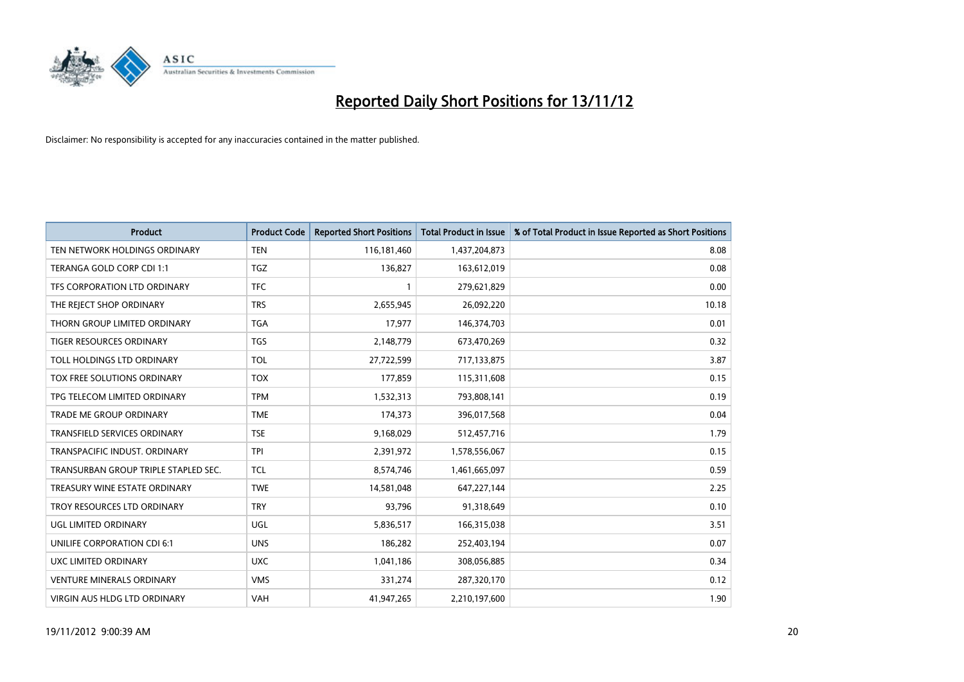

| <b>Product</b>                       | <b>Product Code</b> | <b>Reported Short Positions</b> | <b>Total Product in Issue</b> | % of Total Product in Issue Reported as Short Positions |
|--------------------------------------|---------------------|---------------------------------|-------------------------------|---------------------------------------------------------|
| TEN NETWORK HOLDINGS ORDINARY        | <b>TEN</b>          | 116,181,460                     | 1,437,204,873                 | 8.08                                                    |
| TERANGA GOLD CORP CDI 1:1            | <b>TGZ</b>          | 136,827                         | 163,612,019                   | 0.08                                                    |
| TFS CORPORATION LTD ORDINARY         | <b>TFC</b>          |                                 | 279,621,829                   | 0.00                                                    |
| THE REJECT SHOP ORDINARY             | <b>TRS</b>          | 2,655,945                       | 26,092,220                    | 10.18                                                   |
| THORN GROUP LIMITED ORDINARY         | <b>TGA</b>          | 17,977                          | 146,374,703                   | 0.01                                                    |
| TIGER RESOURCES ORDINARY             | <b>TGS</b>          | 2,148,779                       | 673,470,269                   | 0.32                                                    |
| TOLL HOLDINGS LTD ORDINARY           | <b>TOL</b>          | 27,722,599                      | 717,133,875                   | 3.87                                                    |
| TOX FREE SOLUTIONS ORDINARY          | <b>TOX</b>          | 177,859                         | 115,311,608                   | 0.15                                                    |
| TPG TELECOM LIMITED ORDINARY         | <b>TPM</b>          | 1,532,313                       | 793,808,141                   | 0.19                                                    |
| <b>TRADE ME GROUP ORDINARY</b>       | <b>TME</b>          | 174,373                         | 396,017,568                   | 0.04                                                    |
| TRANSFIELD SERVICES ORDINARY         | <b>TSE</b>          | 9,168,029                       | 512,457,716                   | 1.79                                                    |
| TRANSPACIFIC INDUST, ORDINARY        | <b>TPI</b>          | 2,391,972                       | 1,578,556,067                 | 0.15                                                    |
| TRANSURBAN GROUP TRIPLE STAPLED SEC. | <b>TCL</b>          | 8,574,746                       | 1,461,665,097                 | 0.59                                                    |
| TREASURY WINE ESTATE ORDINARY        | <b>TWE</b>          | 14,581,048                      | 647, 227, 144                 | 2.25                                                    |
| TROY RESOURCES LTD ORDINARY          | <b>TRY</b>          | 93,796                          | 91,318,649                    | 0.10                                                    |
| UGL LIMITED ORDINARY                 | UGL                 | 5,836,517                       | 166,315,038                   | 3.51                                                    |
| UNILIFE CORPORATION CDI 6:1          | <b>UNS</b>          | 186,282                         | 252,403,194                   | 0.07                                                    |
| UXC LIMITED ORDINARY                 | <b>UXC</b>          | 1,041,186                       | 308,056,885                   | 0.34                                                    |
| <b>VENTURE MINERALS ORDINARY</b>     | <b>VMS</b>          | 331,274                         | 287,320,170                   | 0.12                                                    |
| VIRGIN AUS HLDG LTD ORDINARY         | <b>VAH</b>          | 41,947,265                      | 2,210,197,600                 | 1.90                                                    |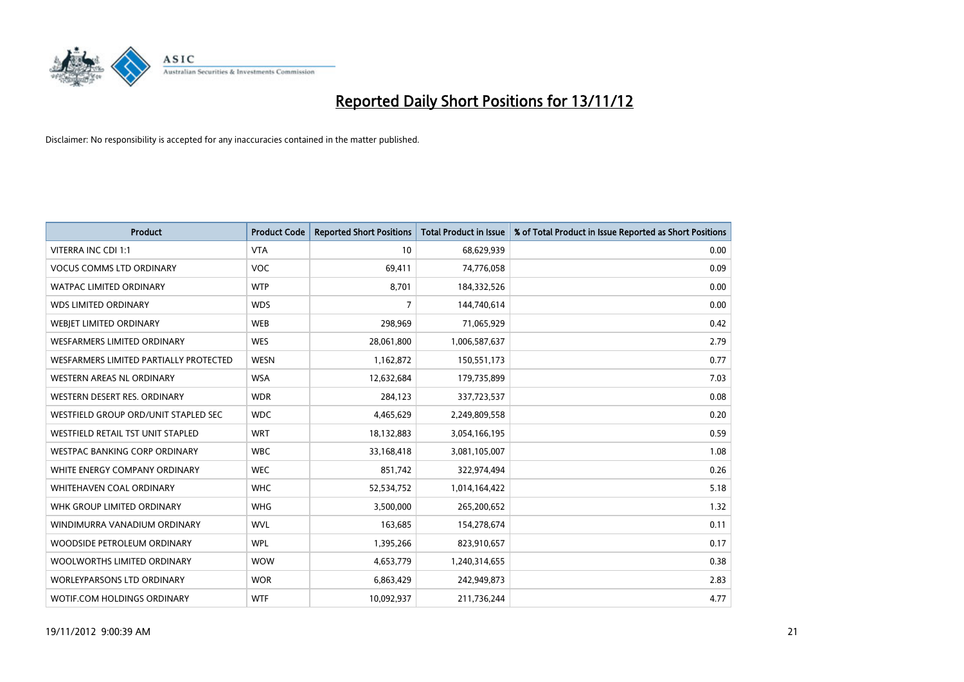

| <b>Product</b>                         | <b>Product Code</b> | <b>Reported Short Positions</b> | <b>Total Product in Issue</b> | % of Total Product in Issue Reported as Short Positions |
|----------------------------------------|---------------------|---------------------------------|-------------------------------|---------------------------------------------------------|
| VITERRA INC CDI 1:1                    | <b>VTA</b>          | 10                              | 68,629,939                    | 0.00                                                    |
| <b>VOCUS COMMS LTD ORDINARY</b>        | <b>VOC</b>          | 69,411                          | 74,776,058                    | 0.09                                                    |
| WATPAC LIMITED ORDINARY                | <b>WTP</b>          | 8,701                           | 184,332,526                   | 0.00                                                    |
| <b>WDS LIMITED ORDINARY</b>            | <b>WDS</b>          | 7                               | 144,740,614                   | 0.00                                                    |
| WEBIET LIMITED ORDINARY                | <b>WEB</b>          | 298,969                         | 71,065,929                    | 0.42                                                    |
| WESFARMERS LIMITED ORDINARY            | <b>WES</b>          | 28,061,800                      | 1,006,587,637                 | 2.79                                                    |
| WESFARMERS LIMITED PARTIALLY PROTECTED | <b>WESN</b>         | 1,162,872                       | 150,551,173                   | 0.77                                                    |
| <b>WESTERN AREAS NL ORDINARY</b>       | <b>WSA</b>          | 12,632,684                      | 179,735,899                   | 7.03                                                    |
| WESTERN DESERT RES. ORDINARY           | <b>WDR</b>          | 284,123                         | 337,723,537                   | 0.08                                                    |
| WESTFIELD GROUP ORD/UNIT STAPLED SEC   | <b>WDC</b>          | 4,465,629                       | 2,249,809,558                 | 0.20                                                    |
| WESTFIELD RETAIL TST UNIT STAPLED      | <b>WRT</b>          | 18,132,883                      | 3,054,166,195                 | 0.59                                                    |
| <b>WESTPAC BANKING CORP ORDINARY</b>   | <b>WBC</b>          | 33,168,418                      | 3,081,105,007                 | 1.08                                                    |
| WHITE ENERGY COMPANY ORDINARY          | <b>WEC</b>          | 851,742                         | 322,974,494                   | 0.26                                                    |
| <b>WHITEHAVEN COAL ORDINARY</b>        | <b>WHC</b>          | 52,534,752                      | 1,014,164,422                 | 5.18                                                    |
| WHK GROUP LIMITED ORDINARY             | <b>WHG</b>          | 3,500,000                       | 265,200,652                   | 1.32                                                    |
| WINDIMURRA VANADIUM ORDINARY           | <b>WVL</b>          | 163,685                         | 154,278,674                   | 0.11                                                    |
| WOODSIDE PETROLEUM ORDINARY            | <b>WPL</b>          | 1,395,266                       | 823,910,657                   | 0.17                                                    |
| WOOLWORTHS LIMITED ORDINARY            | <b>WOW</b>          | 4,653,779                       | 1,240,314,655                 | 0.38                                                    |
| <b>WORLEYPARSONS LTD ORDINARY</b>      | <b>WOR</b>          | 6,863,429                       | 242,949,873                   | 2.83                                                    |
| <b>WOTIF.COM HOLDINGS ORDINARY</b>     | <b>WTF</b>          | 10,092,937                      | 211,736,244                   | 4.77                                                    |